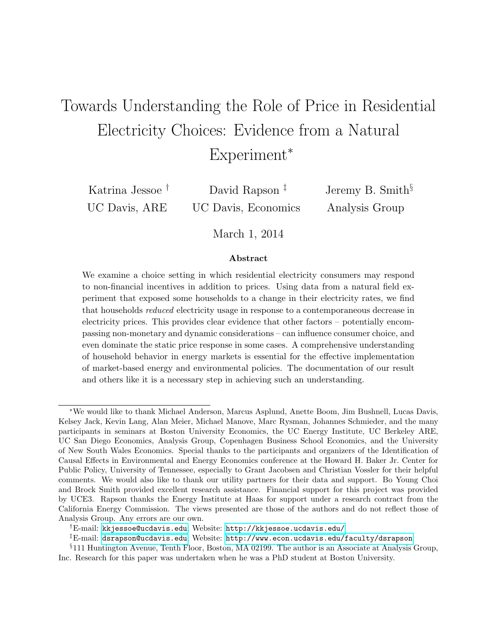# Towards Understanding the Role of Price in Residential Electricity Choices: Evidence from a Natural Experiment<sup>∗</sup>

Katrina Jessoe † UC Davis, ARE

David Rapson ‡ UC Davis, Economics Jeremy B. Smith§ Analysis Group

### March 1, 2014

#### Abstract

We examine a choice setting in which residential electricity consumers may respond to non-financial incentives in addition to prices. Using data from a natural field experiment that exposed some households to a change in their electricity rates, we find that households reduced electricity usage in response to a contemporaneous decrease in electricity prices. This provides clear evidence that other factors – potentially encompassing non-monetary and dynamic considerations – can influence consumer choice, and even dominate the static price response in some cases. A comprehensive understanding of household behavior in energy markets is essential for the effective implementation of market-based energy and environmental policies. The documentation of our result and others like it is a necessary step in achieving such an understanding.

<sup>∗</sup>We would like to thank Michael Anderson, Marcus Asplund, Anette Boom, Jim Bushnell, Lucas Davis, Kelsey Jack, Kevin Lang, Alan Meier, Michael Manove, Marc Rysman, Johannes Schmieder, and the many participants in seminars at Boston University Economics, the UC Energy Institute, UC Berkeley ARE, UC San Diego Economics, Analysis Group, Copenhagen Business School Economics, and the University of New South Wales Economics. Special thanks to the participants and organizers of the Identification of Causal Effects in Environmental and Energy Economics conference at the Howard H. Baker Jr. Center for Public Policy, University of Tennessee, especially to Grant Jacobsen and Christian Vossler for their helpful comments. We would also like to thank our utility partners for their data and support. Bo Young Choi and Brock Smith provided excellent research assistance. Financial support for this project was provided by UCE3. Rapson thanks the Energy Institute at Haas for support under a research contract from the California Energy Commission. The views presented are those of the authors and do not reflect those of Analysis Group. Any errors are our own.

<sup>†</sup>E-mail: [kkjessoe@ucdavis.edu](mailto:kkjessoe@ucdavis.edu); Website: <http://kkjessoe.ucdavis.edu/>

<sup>‡</sup>E-mail: [dsrapson@ucdavis.edu](mailto:dsrapson@ucdavis.edu); Website: <http://www.econ.ucdavis.edu/faculty/dsrapson>

<sup>§</sup>111 Huntington Avenue, Tenth Floor, Boston, MA 02199. The author is an Associate at Analysis Group, Inc. Research for this paper was undertaken when he was a PhD student at Boston University.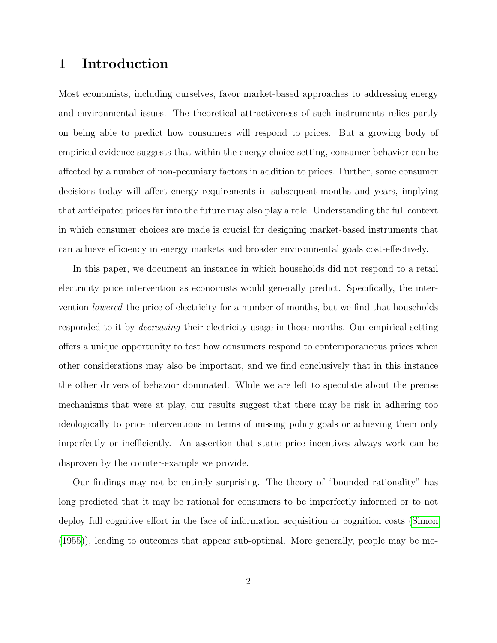# 1 Introduction

Most economists, including ourselves, favor market-based approaches to addressing energy and environmental issues. The theoretical attractiveness of such instruments relies partly on being able to predict how consumers will respond to prices. But a growing body of empirical evidence suggests that within the energy choice setting, consumer behavior can be affected by a number of non-pecuniary factors in addition to prices. Further, some consumer decisions today will affect energy requirements in subsequent months and years, implying that anticipated prices far into the future may also play a role. Understanding the full context in which consumer choices are made is crucial for designing market-based instruments that can achieve efficiency in energy markets and broader environmental goals cost-effectively.

In this paper, we document an instance in which households did not respond to a retail electricity price intervention as economists would generally predict. Specifically, the intervention lowered the price of electricity for a number of months, but we find that households responded to it by decreasing their electricity usage in those months. Our empirical setting offers a unique opportunity to test how consumers respond to contemporaneous prices when other considerations may also be important, and we find conclusively that in this instance the other drivers of behavior dominated. While we are left to speculate about the precise mechanisms that were at play, our results suggest that there may be risk in adhering too ideologically to price interventions in terms of missing policy goals or achieving them only imperfectly or inefficiently. An assertion that static price incentives always work can be disproven by the counter-example we provide.

Our findings may not be entirely surprising. The theory of "bounded rationality" has long predicted that it may be rational for consumers to be imperfectly informed or to not deploy full cognitive effort in the face of information acquisition or cognition costs [\(Simon](#page-26-0) [\(1955\)](#page-26-0)), leading to outcomes that appear sub-optimal. More generally, people may be mo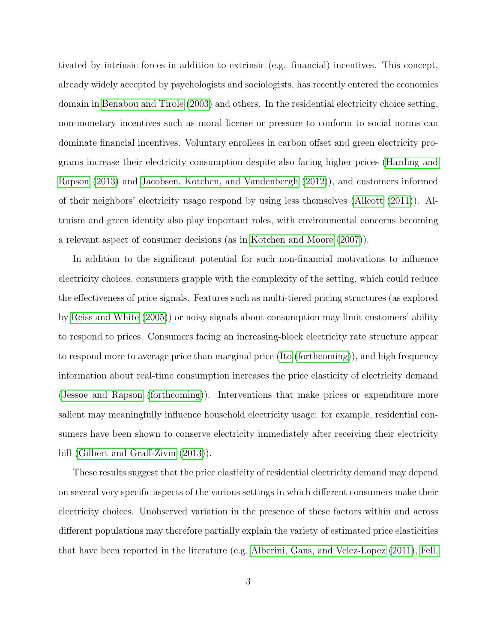tivated by intrinsic forces in addition to extrinsic (e.g. financial) incentives. This concept, already widely accepted by psychologists and sociologists, has recently entered the economics domain in [Benabou and Tirole](#page-25-0) [\(2003\)](#page-25-0) and others. In the residential electricity choice setting, non-monetary incentives such as moral license or pressure to conform to social norms can dominate financial incentives. Voluntary enrollees in carbon offset and green electricity programs increase their electricity consumption despite also facing higher prices [\(Harding and](#page-25-1) [Rapson](#page-25-1) [\(2013\)](#page-25-1) and [Jacobsen, Kotchen, and Vandenbergh](#page-26-1) [\(2012\)](#page-26-1)), and customers informed of their neighbors' electricity usage respond by using less themselves [\(Allcott](#page-25-2) [\(2011\)](#page-25-2)). Altruism and green identity also play important roles, with environmental concerns becoming a relevant aspect of consumer decisions (as in [Kotchen and Moore](#page-26-2) [\(2007\)](#page-26-2)).

In addition to the significant potential for such non-financial motivations to influence electricity choices, consumers grapple with the complexity of the setting, which could reduce the effectiveness of price signals. Features such as multi-tiered pricing structures (as explored by [Reiss and White](#page-26-3) [\(2005\)](#page-26-3)) or noisy signals about consumption may limit customers' ability to respond to prices. Consumers facing an increasing-block electricity rate structure appear to respond more to average price than marginal price [\(Ito](#page-26-4) [\(forthcoming\)](#page-26-4)), and high frequency information about real-time consumption increases the price elasticity of electricity demand [\(Jessoe and Rapson](#page-26-5) [\(forthcoming\)](#page-26-5)). Interventions that make prices or expenditure more salient may meaningfully influence household electricity usage: for example, residential consumers have been shown to conserve electricity immediately after receiving their electricity bill [\(Gilbert and Graff-Zivin](#page-25-3) [\(2013\)](#page-25-3)).

These results suggest that the price elasticity of residential electricity demand may depend on several very specific aspects of the various settings in which different consumers make their electricity choices. Unobserved variation in the presence of these factors within and across different populations may therefore partially explain the variety of estimated price elasticities that have been reported in the literature (e.g. [Alberini, Gans, and Velez-Lopez](#page-25-4) [\(2011\)](#page-25-4), [Fell,](#page-25-5)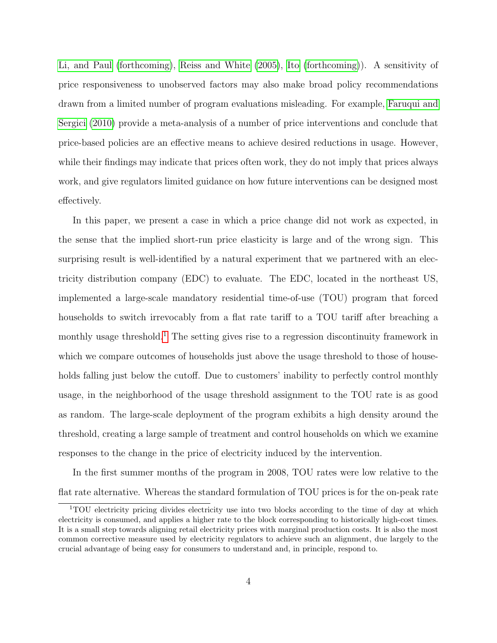[Li, and Paul](#page-25-5) [\(forthcoming\)](#page-25-5), [Reiss and White](#page-26-3) [\(2005\)](#page-26-3), [Ito](#page-26-4) [\(forthcoming\)](#page-26-4)). A sensitivity of price responsiveness to unobserved factors may also make broad policy recommendations drawn from a limited number of program evaluations misleading. For example, [Faruqui and](#page-25-6) [Sergici](#page-25-6) [\(2010\)](#page-25-6) provide a meta-analysis of a number of price interventions and conclude that price-based policies are an effective means to achieve desired reductions in usage. However, while their findings may indicate that prices often work, they do not imply that prices always work, and give regulators limited guidance on how future interventions can be designed most effectively.

In this paper, we present a case in which a price change did not work as expected, in the sense that the implied short-run price elasticity is large and of the wrong sign. This surprising result is well-identified by a natural experiment that we partnered with an electricity distribution company (EDC) to evaluate. The EDC, located in the northeast US, implemented a large-scale mandatory residential time-of-use (TOU) program that forced households to switch irrevocably from a flat rate tariff to a TOU tariff after breaching a monthly usage threshold.<sup>[1](#page-3-0)</sup> The setting gives rise to a regression discontinuity framework in which we compare outcomes of households just above the usage threshold to those of households falling just below the cutoff. Due to customers' inability to perfectly control monthly usage, in the neighborhood of the usage threshold assignment to the TOU rate is as good as random. The large-scale deployment of the program exhibits a high density around the threshold, creating a large sample of treatment and control households on which we examine responses to the change in the price of electricity induced by the intervention.

In the first summer months of the program in 2008, TOU rates were low relative to the flat rate alternative. Whereas the standard formulation of TOU prices is for the on-peak rate

<span id="page-3-0"></span><sup>&</sup>lt;sup>1</sup>TOU electricity pricing divides electricity use into two blocks according to the time of day at which electricity is consumed, and applies a higher rate to the block corresponding to historically high-cost times. It is a small step towards aligning retail electricity prices with marginal production costs. It is also the most common corrective measure used by electricity regulators to achieve such an alignment, due largely to the crucial advantage of being easy for consumers to understand and, in principle, respond to.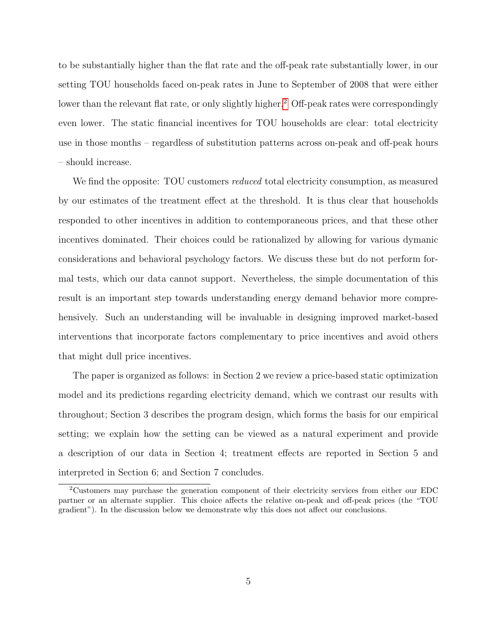to be substantially higher than the flat rate and the off-peak rate substantially lower, in our setting TOU households faced on-peak rates in June to September of 2008 that were either lower than the relevant flat rate, or only slightly higher.<sup>[2](#page-4-0)</sup> Off-peak rates were correspondingly even lower. The static financial incentives for TOU households are clear: total electricity use in those months – regardless of substitution patterns across on-peak and off-peak hours – should increase.

We find the opposite: TOU customers *reduced* total electricity consumption, as measured by our estimates of the treatment effect at the threshold. It is thus clear that households responded to other incentives in addition to contemporaneous prices, and that these other incentives dominated. Their choices could be rationalized by allowing for various dymanic considerations and behavioral psychology factors. We discuss these but do not perform formal tests, which our data cannot support. Nevertheless, the simple documentation of this result is an important step towards understanding energy demand behavior more comprehensively. Such an understanding will be invaluable in designing improved market-based interventions that incorporate factors complementary to price incentives and avoid others that might dull price incentives.

The paper is organized as follows: in Section 2 we review a price-based static optimization model and its predictions regarding electricity demand, which we contrast our results with throughout; Section 3 describes the program design, which forms the basis for our empirical setting; we explain how the setting can be viewed as a natural experiment and provide a description of our data in Section 4; treatment effects are reported in Section 5 and interpreted in Section 6; and Section 7 concludes.

<span id="page-4-0"></span><sup>2</sup>Customers may purchase the generation component of their electricity services from either our EDC partner or an alternate supplier. This choice affects the relative on-peak and off-peak prices (the "TOU gradient"). In the discussion below we demonstrate why this does not affect our conclusions.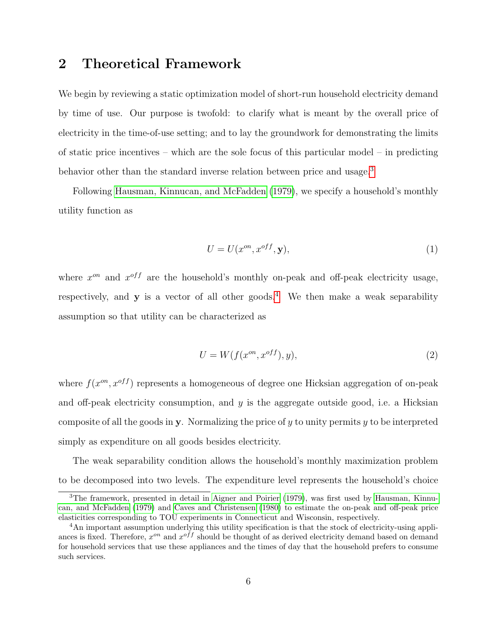# 2 Theoretical Framework

We begin by reviewing a static optimization model of short-run household electricity demand by time of use. Our purpose is twofold: to clarify what is meant by the overall price of electricity in the time-of-use setting; and to lay the groundwork for demonstrating the limits of static price incentives – which are the sole focus of this particular model – in predicting behavior other than the standard inverse relation between price and usage.<sup>[3](#page-5-0)</sup>

Following [Hausman, Kinnucan, and McFadden](#page-26-6) [\(1979\)](#page-26-6), we specify a household's monthly utility function as

$$
U = U(x^{on}, x^{off}, \mathbf{y}),\tag{1}
$$

where  $x^{on}$  and  $x^{off}$  are the household's monthly on-peak and off-peak electricity usage, respectively, and  $y$  is a vector of all other goods.<sup>[4](#page-5-1)</sup> We then make a weak separability assumption so that utility can be characterized as

$$
U = W(f(x^{on}, x^{off}), y),\tag{2}
$$

where  $f(x^{on}, x^{off})$  represents a homogeneous of degree one Hicksian aggregation of on-peak and off-peak electricity consumption, and  $y$  is the aggregate outside good, i.e. a Hicksian composite of all the goods in y. Normalizing the price of y to unity permits y to be interpreted simply as expenditure on all goods besides electricity.

The weak separability condition allows the household's monthly maximization problem to be decomposed into two levels. The expenditure level represents the household's choice

<span id="page-5-0"></span><sup>&</sup>lt;sup>3</sup>The framework, presented in detail in [Aigner and Poirier](#page-25-7) [\(1979\)](#page-25-7), was first used by [Hausman, Kinnu](#page-26-6)[can, and McFadden](#page-26-6) [\(1979\)](#page-26-6) and [Caves and Christensen](#page-25-8) [\(1980\)](#page-25-8) to estimate the on-peak and off-peak price elasticities corresponding to TOU experiments in Connecticut and Wisconsin, respectively.

<span id="page-5-1"></span><sup>&</sup>lt;sup>4</sup>An important assumption underlying this utility specification is that the stock of electricity-using appliances is fixed. Therefore,  $x^{on}$  and  $x^{off}$  should be thought of as derived electricity demand based on demand for household services that use these appliances and the times of day that the household prefers to consume such services.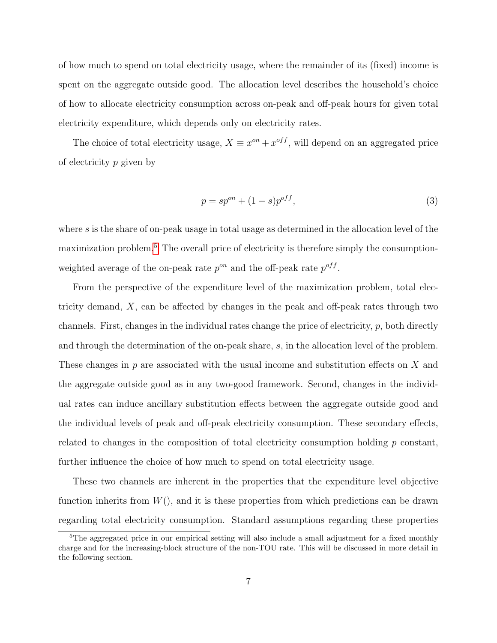of how much to spend on total electricity usage, where the remainder of its (fixed) income is spent on the aggregate outside good. The allocation level describes the household's choice of how to allocate electricity consumption across on-peak and off-peak hours for given total electricity expenditure, which depends only on electricity rates.

The choice of total electricity usage,  $X \equiv x^{on} + x^{off}$ , will depend on an aggregated price of electricity p given by

$$
p = sp^{on} + (1 - s)p^{off}, \tag{3}
$$

where  $s$  is the share of on-peak usage in total usage as determined in the allocation level of the maximization problem.[5](#page-6-0) The overall price of electricity is therefore simply the consumptionweighted average of the on-peak rate  $p^{on}$  and the off-peak rate  $p^{off}$ .

From the perspective of the expenditure level of the maximization problem, total electricity demand, X, can be affected by changes in the peak and off-peak rates through two channels. First, changes in the individual rates change the price of electricity,  $p$ , both directly and through the determination of the on-peak share, s, in the allocation level of the problem. These changes in  $p$  are associated with the usual income and substitution effects on  $X$  and the aggregate outside good as in any two-good framework. Second, changes in the individual rates can induce ancillary substitution effects between the aggregate outside good and the individual levels of peak and off-peak electricity consumption. These secondary effects, related to changes in the composition of total electricity consumption holding  $p$  constant, further influence the choice of how much to spend on total electricity usage.

These two channels are inherent in the properties that the expenditure level objective function inherits from  $W()$ , and it is these properties from which predictions can be drawn regarding total electricity consumption. Standard assumptions regarding these properties

<span id="page-6-0"></span><sup>&</sup>lt;sup>5</sup>The aggregated price in our empirical setting will also include a small adjustment for a fixed monthly charge and for the increasing-block structure of the non-TOU rate. This will be discussed in more detail in the following section.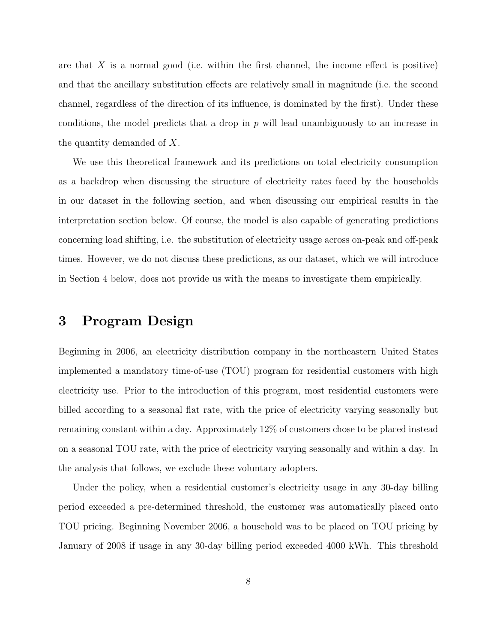are that  $X$  is a normal good (i.e. within the first channel, the income effect is positive) and that the ancillary substitution effects are relatively small in magnitude (i.e. the second channel, regardless of the direction of its influence, is dominated by the first). Under these conditions, the model predicts that a drop in  $p$  will lead unambiguously to an increase in the quantity demanded of X.

We use this theoretical framework and its predictions on total electricity consumption as a backdrop when discussing the structure of electricity rates faced by the households in our dataset in the following section, and when discussing our empirical results in the interpretation section below. Of course, the model is also capable of generating predictions concerning load shifting, i.e. the substitution of electricity usage across on-peak and off-peak times. However, we do not discuss these predictions, as our dataset, which we will introduce in Section 4 below, does not provide us with the means to investigate them empirically.

## 3 Program Design

Beginning in 2006, an electricity distribution company in the northeastern United States implemented a mandatory time-of-use (TOU) program for residential customers with high electricity use. Prior to the introduction of this program, most residential customers were billed according to a seasonal flat rate, with the price of electricity varying seasonally but remaining constant within a day. Approximately 12% of customers chose to be placed instead on a seasonal TOU rate, with the price of electricity varying seasonally and within a day. In the analysis that follows, we exclude these voluntary adopters.

Under the policy, when a residential customer's electricity usage in any 30-day billing period exceeded a pre-determined threshold, the customer was automatically placed onto TOU pricing. Beginning November 2006, a household was to be placed on TOU pricing by January of 2008 if usage in any 30-day billing period exceeded 4000 kWh. This threshold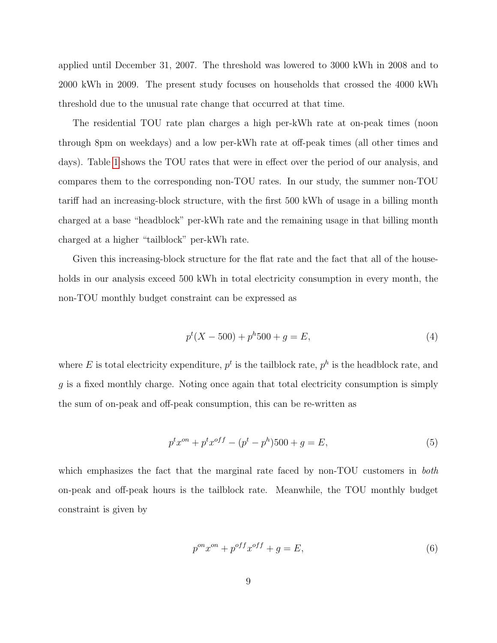applied until December 31, 2007. The threshold was lowered to 3000 kWh in 2008 and to 2000 kWh in 2009. The present study focuses on households that crossed the 4000 kWh threshold due to the unusual rate change that occurred at that time.

The residential TOU rate plan charges a high per-kWh rate at on-peak times (noon through 8pm on weekdays) and a low per-kWh rate at off-peak times (all other times and days). Table [1](#page-27-0) shows the TOU rates that were in effect over the period of our analysis, and compares them to the corresponding non-TOU rates. In our study, the summer non-TOU tariff had an increasing-block structure, with the first 500 kWh of usage in a billing month charged at a base "headblock" per-kWh rate and the remaining usage in that billing month charged at a higher "tailblock" per-kWh rate.

Given this increasing-block structure for the flat rate and the fact that all of the households in our analysis exceed 500 kWh in total electricity consumption in every month, the non-TOU monthly budget constraint can be expressed as

$$
pt(X - 500) + ph500 + g = E,
$$
\n(4)

where E is total electricity expenditure,  $p^t$  is the tailblock rate,  $p^h$  is the headblock rate, and g is a fixed monthly charge. Noting once again that total electricity consumption is simply the sum of on-peak and off-peak consumption, this can be re-written as

<span id="page-8-0"></span>
$$
p^t x^{on} + p^t x^{off} - (p^t - p^h)500 + g = E,
$$
\n(5)

which emphasizes the fact that the marginal rate faced by non-TOU customers in *both* on-peak and off-peak hours is the tailblock rate. Meanwhile, the TOU monthly budget constraint is given by

<span id="page-8-1"></span>
$$
p^{on}x^{on} + p^{off}x^{off} + g = E,
$$
\n<sup>(6)</sup>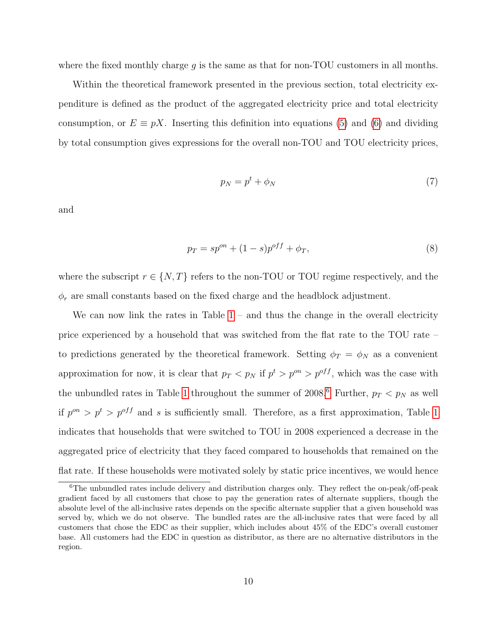where the fixed monthly charge g is the same as that for non-TOU customers in all months.

Within the theoretical framework presented in the previous section, total electricity expenditure is defined as the product of the aggregated electricity price and total electricity consumption, or  $E \equiv pX$ . Inserting this definition into equations [\(5\)](#page-8-0) and [\(6\)](#page-8-1) and dividing by total consumption gives expressions for the overall non-TOU and TOU electricity prices,

$$
p_N = p^t + \phi_N \tag{7}
$$

and

$$
p_T = sp^{on} + (1 - s)p^{off} + \phi_T,
$$
\n(8)

where the subscript  $r \in \{N, T\}$  refers to the non-TOU or TOU regime respectively, and the  $\phi_r$  are small constants based on the fixed charge and the headblock adjustment.

We can now link the rates in Table  $1-$  and thus the change in the overall electricity price experienced by a household that was switched from the flat rate to the TOU rate – to predictions generated by the theoretical framework. Setting  $\phi_T = \phi_N$  as a convenient approximation for now, it is clear that  $p_T < p_N$  if  $p^t > p^{on} > p^{off}$ , which was the case with the unbundled rates in Table [1](#page-27-0) throughout the summer of 2008.<sup>[6](#page-9-0)</sup> Further,  $p_T < p_N$  as well if  $p^{on} > p^t > p^{off}$  and s is sufficiently small. Therefore, as a first approximation, Table [1](#page-27-0) indicates that households that were switched to TOU in 2008 experienced a decrease in the aggregated price of electricity that they faced compared to households that remained on the flat rate. If these households were motivated solely by static price incentives, we would hence

<span id="page-9-0"></span><sup>6</sup>The unbundled rates include delivery and distribution charges only. They reflect the on-peak/off-peak gradient faced by all customers that chose to pay the generation rates of alternate suppliers, though the absolute level of the all-inclusive rates depends on the specific alternate supplier that a given household was served by, which we do not observe. The bundled rates are the all-inclusive rates that were faced by all customers that chose the EDC as their supplier, which includes about 45% of the EDC's overall customer base. All customers had the EDC in question as distributor, as there are no alternative distributors in the region.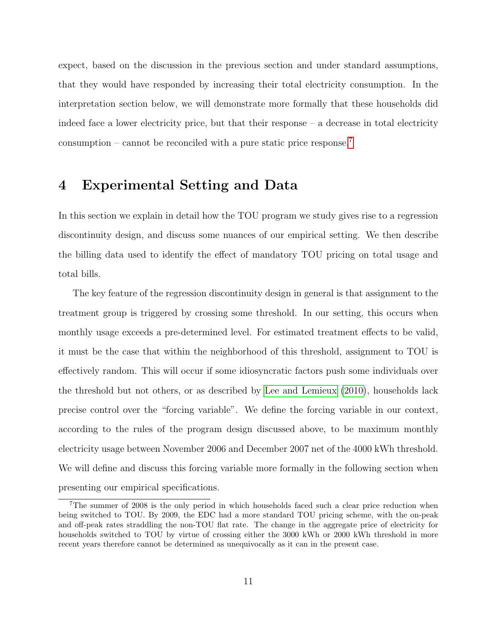expect, based on the discussion in the previous section and under standard assumptions, that they would have responded by increasing their total electricity consumption. In the interpretation section below, we will demonstrate more formally that these households did indeed face a lower electricity price, but that their response – a decrease in total electricity consumption – cannot be reconciled with a pure static price response.<sup>[7](#page-10-0)</sup>

# 4 Experimental Setting and Data

In this section we explain in detail how the TOU program we study gives rise to a regression discontinuity design, and discuss some nuances of our empirical setting. We then describe the billing data used to identify the effect of mandatory TOU pricing on total usage and total bills.

The key feature of the regression discontinuity design in general is that assignment to the treatment group is triggered by crossing some threshold. In our setting, this occurs when monthly usage exceeds a pre-determined level. For estimated treatment effects to be valid, it must be the case that within the neighborhood of this threshold, assignment to TOU is effectively random. This will occur if some idiosyncratic factors push some individuals over the threshold but not others, or as described by [Lee and Lemieux](#page-26-7) [\(2010\)](#page-26-7), households lack precise control over the "forcing variable". We define the forcing variable in our context, according to the rules of the program design discussed above, to be maximum monthly electricity usage between November 2006 and December 2007 net of the 4000 kWh threshold. We will define and discuss this forcing variable more formally in the following section when presenting our empirical specifications.

<span id="page-10-0"></span><sup>7</sup>The summer of 2008 is the only period in which households faced such a clear price reduction when being switched to TOU. By 2009, the EDC had a more standard TOU pricing scheme, with the on-peak and off-peak rates straddling the non-TOU flat rate. The change in the aggregate price of electricity for households switched to TOU by virtue of crossing either the 3000 kWh or 2000 kWh threshold in more recent years therefore cannot be determined as unequivocally as it can in the present case.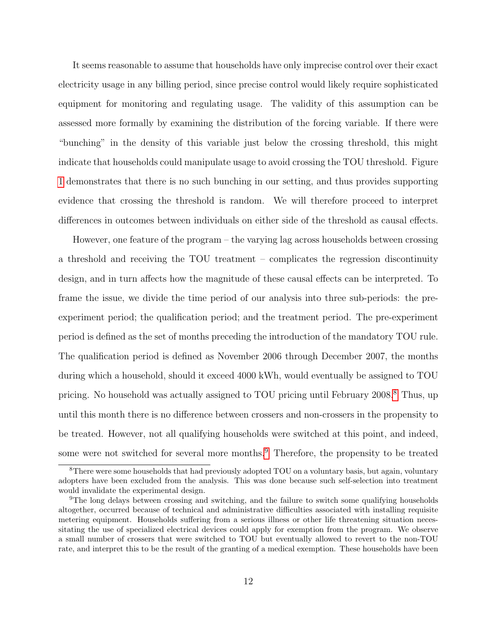It seems reasonable to assume that households have only imprecise control over their exact electricity usage in any billing period, since precise control would likely require sophisticated equipment for monitoring and regulating usage. The validity of this assumption can be assessed more formally by examining the distribution of the forcing variable. If there were "bunching" in the density of this variable just below the crossing threshold, this might indicate that households could manipulate usage to avoid crossing the TOU threshold. Figure [1](#page-28-0) demonstrates that there is no such bunching in our setting, and thus provides supporting evidence that crossing the threshold is random. We will therefore proceed to interpret differences in outcomes between individuals on either side of the threshold as causal effects.

However, one feature of the program – the varying lag across households between crossing a threshold and receiving the TOU treatment – complicates the regression discontinuity design, and in turn affects how the magnitude of these causal effects can be interpreted. To frame the issue, we divide the time period of our analysis into three sub-periods: the preexperiment period; the qualification period; and the treatment period. The pre-experiment period is defined as the set of months preceding the introduction of the mandatory TOU rule. The qualification period is defined as November 2006 through December 2007, the months during which a household, should it exceed 4000 kWh, would eventually be assigned to TOU pricing. No household was actually assigned to TOU pricing until February 200[8](#page-11-0).<sup>8</sup> Thus, up until this month there is no difference between crossers and non-crossers in the propensity to be treated. However, not all qualifying households were switched at this point, and indeed, some were not switched for several more months.<sup>[9](#page-11-1)</sup> Therefore, the propensity to be treated

<span id="page-11-0"></span><sup>&</sup>lt;sup>8</sup>There were some households that had previously adopted TOU on a voluntary basis, but again, voluntary adopters have been excluded from the analysis. This was done because such self-selection into treatment would invalidate the experimental design.

<span id="page-11-1"></span><sup>&</sup>lt;sup>9</sup>The long delays between crossing and switching, and the failure to switch some qualifying households altogether, occurred because of technical and administrative difficulties associated with installing requisite metering equipment. Households suffering from a serious illness or other life threatening situation necessitating the use of specialized electrical devices could apply for exemption from the program. We observe a small number of crossers that were switched to TOU but eventually allowed to revert to the non-TOU rate, and interpret this to be the result of the granting of a medical exemption. These households have been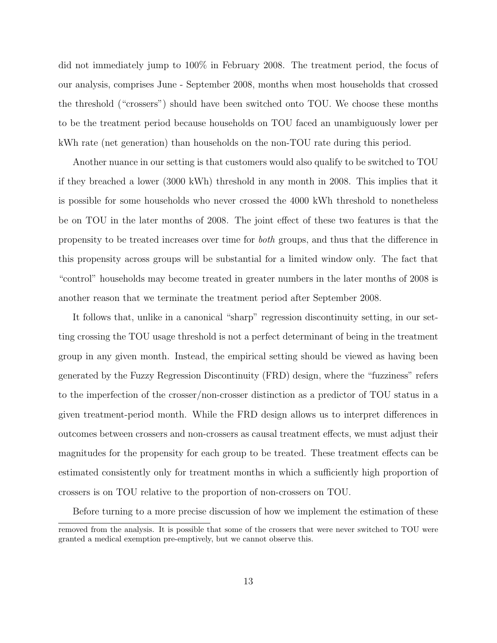did not immediately jump to 100% in February 2008. The treatment period, the focus of our analysis, comprises June - September 2008, months when most households that crossed the threshold ("crossers") should have been switched onto TOU. We choose these months to be the treatment period because households on TOU faced an unambiguously lower per kWh rate (net generation) than households on the non-TOU rate during this period.

Another nuance in our setting is that customers would also qualify to be switched to TOU if they breached a lower (3000 kWh) threshold in any month in 2008. This implies that it is possible for some households who never crossed the 4000 kWh threshold to nonetheless be on TOU in the later months of 2008. The joint effect of these two features is that the propensity to be treated increases over time for both groups, and thus that the difference in this propensity across groups will be substantial for a limited window only. The fact that "control" households may become treated in greater numbers in the later months of 2008 is another reason that we terminate the treatment period after September 2008.

It follows that, unlike in a canonical "sharp" regression discontinuity setting, in our setting crossing the TOU usage threshold is not a perfect determinant of being in the treatment group in any given month. Instead, the empirical setting should be viewed as having been generated by the Fuzzy Regression Discontinuity (FRD) design, where the "fuzziness" refers to the imperfection of the crosser/non-crosser distinction as a predictor of TOU status in a given treatment-period month. While the FRD design allows us to interpret differences in outcomes between crossers and non-crossers as causal treatment effects, we must adjust their magnitudes for the propensity for each group to be treated. These treatment effects can be estimated consistently only for treatment months in which a sufficiently high proportion of crossers is on TOU relative to the proportion of non-crossers on TOU.

Before turning to a more precise discussion of how we implement the estimation of these removed from the analysis. It is possible that some of the crossers that were never switched to TOU were granted a medical exemption pre-emptively, but we cannot observe this.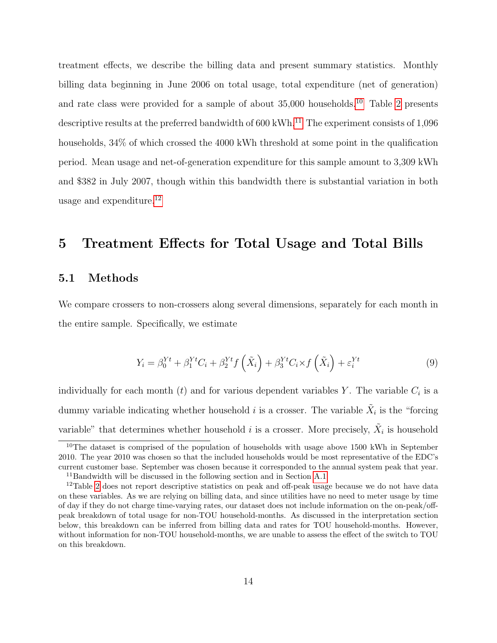treatment effects, we describe the billing data and present summary statistics. Monthly billing data beginning in June 2006 on total usage, total expenditure (net of generation) and rate class were provided for a sample of about  $35,000$  households.<sup>[10](#page-13-0)</sup> Table [2](#page-27-1) presents descriptive results at the preferred bandwidth of  $600 \text{ kWh}$ .<sup>[11](#page-13-1)</sup> The experiment consists of 1,096 households,  $34\%$  of which crossed the 4000 kWh threshold at some point in the qualification period. Mean usage and net-of-generation expenditure for this sample amount to 3,309 kWh and \$382 in July 2007, though within this bandwidth there is substantial variation in both usage and expenditure.[12](#page-13-2)

# 5 Treatment Effects for Total Usage and Total Bills

### 5.1 Methods

We compare crossers to non-crossers along several dimensions, separately for each month in the entire sample. Specifically, we estimate

<span id="page-13-3"></span>
$$
Y_i = \beta_0^{Yt} + \beta_1^{Yt} C_i + \beta_2^{Yt} f\left(\tilde{X}_i\right) + \beta_3^{Yt} C_i \times f\left(\tilde{X}_i\right) + \varepsilon_i^{Yt} \tag{9}
$$

individually for each month  $(t)$  and for various dependent variables Y. The variable  $C_i$  is a dummy variable indicating whether household *i* is a crosser. The variable  $\tilde{X}_i$  is the "forcing variable" that determines whether household *i* is a crosser. More precisely,  $\tilde{X}_i$  is household

<span id="page-13-0"></span><sup>&</sup>lt;sup>10</sup>The dataset is comprised of the population of households with usage above 1500 kWh in September 2010. The year 2010 was chosen so that the included households would be most representative of the EDC's current customer base. September was chosen because it corresponded to the annual system peak that year. <sup>11</sup>Bandwidth will be discussed in the following section and in Section [A.1.](#page-36-0)

<span id="page-13-2"></span><span id="page-13-1"></span><sup>&</sup>lt;sup>12</sup>Table [2](#page-27-1) does not report descriptive statistics on peak and off-peak usage because we do not have data on these variables. As we are relying on billing data, and since utilities have no need to meter usage by time of day if they do not charge time-varying rates, our dataset does not include information on the on-peak/offpeak breakdown of total usage for non-TOU household-months. As discussed in the interpretation section below, this breakdown can be inferred from billing data and rates for TOU household-months. However, without information for non-TOU household-months, we are unable to assess the effect of the switch to TOU on this breakdown.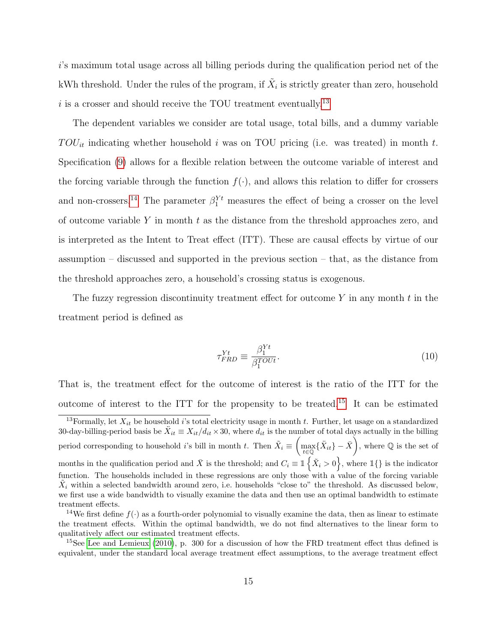i's maximum total usage across all billing periods during the qualification period net of the kWh threshold. Under the rules of the program, if  $\tilde{X}_i$  is strictly greater than zero, household i is a crosser and should receive the TOU treatment eventually.<sup>[13](#page-14-0)</sup>

The dependent variables we consider are total usage, total bills, and a dummy variable  $TOU_{it}$  indicating whether household i was on TOU pricing (i.e. was treated) in month t. Specification [\(9\)](#page-13-3) allows for a flexible relation between the outcome variable of interest and the forcing variable through the function  $f(.)$ , and allows this relation to differ for crossers and non-crossers.<sup>[14](#page-14-1)</sup> The parameter  $\beta_1^{Yt}$  measures the effect of being a crosser on the level of outcome variable Y in month  $t$  as the distance from the threshold approaches zero, and is interpreted as the Intent to Treat effect (ITT). These are causal effects by virtue of our assumption – discussed and supported in the previous section – that, as the distance from the threshold approaches zero, a household's crossing status is exogenous.

The fuzzy regression discontinuity treatment effect for outcome  $Y$  in any month  $t$  in the treatment period is defined as

<span id="page-14-3"></span>
$$
\tau_{FRD}^{Yt} \equiv \frac{\beta_1^{Yt}}{\beta_1^{TOUt}}.\tag{10}
$$

That is, the treatment effect for the outcome of interest is the ratio of the ITT for the outcome of interest to the ITT for the propensity to be treated.[15](#page-14-2) It can be estimated

<span id="page-14-0"></span><sup>&</sup>lt;sup>13</sup>Formally, let  $X_{it}$  be household i's total electricity usage in month t. Further, let usage on a standardized 30-day-billing-period basis be  $\ddot{X}_{it} \equiv X_{it}/d_{it} \times 30$ , where  $d_{it}$  is the number of total days actually in the billing period corresponding to household i's bill in month t. Then  $\tilde{X}_i \equiv \left( \max_{t \in \mathbb{Q}} \{ \ddot{X}_{it} \} - \bar{X} \right)$ , where  $\mathbb{Q}$  is the set of months in the qualification period and  $\bar{X}$  is the threshold; and  $C_i \equiv \mathbb{1}\left\{\tilde{X}_i > 0\right\}$ , where  $\mathbb{1}\left\{\right\}$  is the indicator function. The households included in these regressions are only those with a value of the forcing variable  $\tilde{X}_i$  within a selected bandwidth around zero, i.e. households "close to" the threshold. As discussed below, we first use a wide bandwidth to visually examine the data and then use an optimal bandwidth to estimate treatment effects.

<span id="page-14-1"></span><sup>&</sup>lt;sup>14</sup>We first define  $f(.)$  as a fourth-order polynomial to visually examine the data, then as linear to estimate the treatment effects. Within the optimal bandwidth, we do not find alternatives to the linear form to qualitatively affect our estimated treatment effects.

<span id="page-14-2"></span><sup>&</sup>lt;sup>15</sup>See [Lee and Lemieux](#page-26-7)  $(2010)$ , p. 300 for a discussion of how the FRD treatment effect thus defined is equivalent, under the standard local average treatment effect assumptions, to the average treatment effect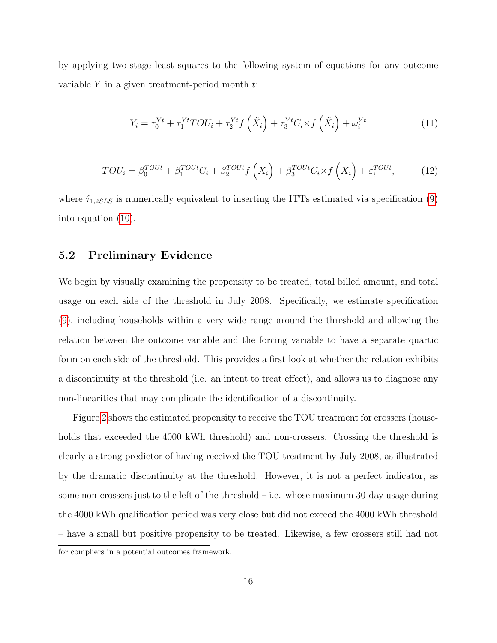by applying two-stage least squares to the following system of equations for any outcome variable  $Y$  in a given treatment-period month  $t$ :

<span id="page-15-0"></span>
$$
Y_i = \tau_0^{Yt} + \tau_1^{Yt}TOU_i + \tau_2^{Yt}f\left(\tilde{X}_i\right) + \tau_3^{Yt}C_i \times f\left(\tilde{X}_i\right) + \omega_i^{Yt} \tag{11}
$$

<span id="page-15-1"></span>
$$
TOU_i = \beta_0^{TOUt} + \beta_1^{TOUt}C_i + \beta_2^{TOUt}f\left(\tilde{X}_i\right) + \beta_3^{TOUt}C_i \times f\left(\tilde{X}_i\right) + \varepsilon_i^{TOUt},\tag{12}
$$

where  $\hat{\tau}_{1,2SLS}$  is numerically equivalent to inserting the ITTs estimated via specification [\(9\)](#page-13-3) into equation [\(10\)](#page-14-3).

### 5.2 Preliminary Evidence

We begin by visually examining the propensity to be treated, total billed amount, and total usage on each side of the threshold in July 2008. Specifically, we estimate specification [\(9\)](#page-13-3), including households within a very wide range around the threshold and allowing the relation between the outcome variable and the forcing variable to have a separate quartic form on each side of the threshold. This provides a first look at whether the relation exhibits a discontinuity at the threshold (i.e. an intent to treat effect), and allows us to diagnose any non-linearities that may complicate the identification of a discontinuity.

Figure [2](#page-29-0) shows the estimated propensity to receive the TOU treatment for crossers (households that exceeded the 4000 kWh threshold) and non-crossers. Crossing the threshold is clearly a strong predictor of having received the TOU treatment by July 2008, as illustrated by the dramatic discontinuity at the threshold. However, it is not a perfect indicator, as some non-crossers just to the left of the threshold – i.e. whose maximum 30-day usage during the 4000 kWh qualification period was very close but did not exceed the 4000 kWh threshold – have a small but positive propensity to be treated. Likewise, a few crossers still had not for compliers in a potential outcomes framework.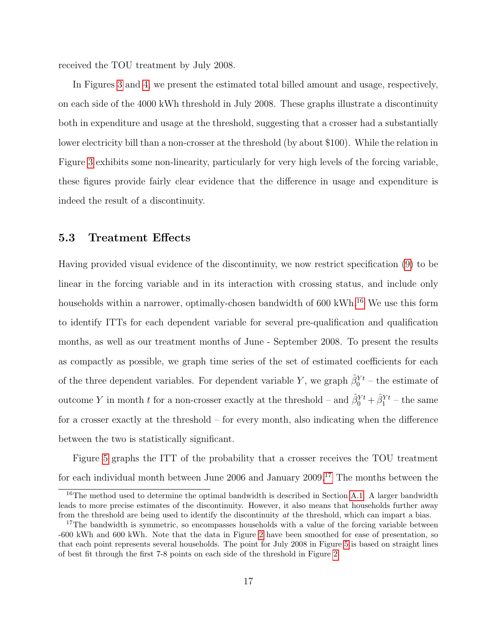received the TOU treatment by July 2008.

In Figures [3](#page-29-1) and [4,](#page-30-0) we present the estimated total billed amount and usage, respectively, on each side of the 4000 kWh threshold in July 2008. These graphs illustrate a discontinuity both in expenditure and usage at the threshold, suggesting that a crosser had a substantially lower electricity bill than a non-crosser at the threshold (by about \$100). While the relation in Figure [3](#page-29-1) exhibits some non-linearity, particularly for very high levels of the forcing variable, these figures provide fairly clear evidence that the difference in usage and expenditure is indeed the result of a discontinuity.

### 5.3 Treatment Effects

Having provided visual evidence of the discontinuity, we now restrict specification [\(9\)](#page-13-3) to be linear in the forcing variable and in its interaction with crossing status, and include only households within a narrower, optimally-chosen bandwidth of 600 kWh.<sup>[16](#page-16-0)</sup> We use this form to identify ITTs for each dependent variable for several pre-qualification and qualification months, as well as our treatment months of June - September 2008. To present the results as compactly as possible, we graph time series of the set of estimated coefficients for each of the three dependent variables. For dependent variable Y, we graph  $\hat{\beta}_0^{Yt}$  – the estimate of outcome Y in month t for a non-crosser exactly at the threshold – and  $\hat{\beta}_0^{Yt} + \hat{\beta}_1^{Yt}$  – the same for a crosser exactly at the threshold – for every month, also indicating when the difference between the two is statistically significant.

Figure [5](#page-30-1) graphs the ITT of the probability that a crosser receives the TOU treatment for each individual month between June 2006 and January 2009.[17](#page-16-1) The months between the

<span id="page-16-0"></span><sup>&</sup>lt;sup>16</sup>The method used to determine the optimal bandwidth is described in Section [A.1.](#page-36-0) A larger bandwidth leads to more precise estimates of the discontinuity. However, it also means that households further away from the threshold are being used to identify the discontinuity at the threshold, which can impart a bias.

<span id="page-16-1"></span><sup>&</sup>lt;sup>17</sup>The bandwidth is symmetric, so encompasses households with a value of the forcing variable between -600 kWh and 600 kWh. Note that the data in Figure [2](#page-29-0) have been smoothed for ease of presentation, so that each point represents several households. The point for July 2008 in Figure [5](#page-30-1) is based on straight lines of best fit through the first 7-8 points on each side of the threshold in Figure [2.](#page-29-0)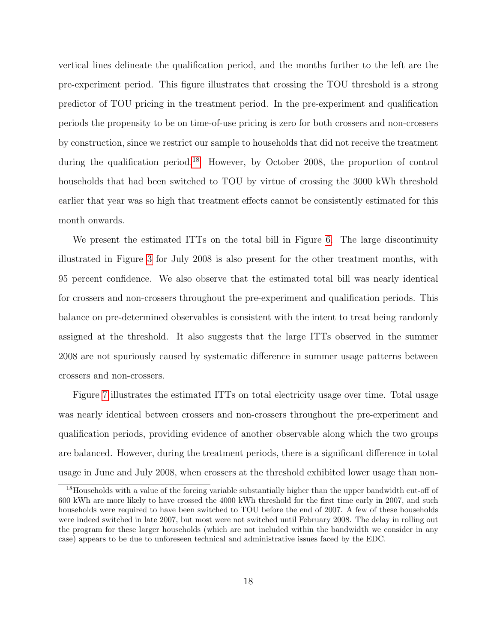vertical lines delineate the qualification period, and the months further to the left are the pre-experiment period. This figure illustrates that crossing the TOU threshold is a strong predictor of TOU pricing in the treatment period. In the pre-experiment and qualification periods the propensity to be on time-of-use pricing is zero for both crossers and non-crossers by construction, since we restrict our sample to households that did not receive the treatment during the qualification period.<sup>[18](#page-17-0)</sup> However, by October 2008, the proportion of control households that had been switched to TOU by virtue of crossing the 3000 kWh threshold earlier that year was so high that treatment effects cannot be consistently estimated for this month onwards.

We present the estimated ITTs on the total bill in Figure [6.](#page-31-0) The large discontinuity illustrated in Figure [3](#page-29-1) for July 2008 is also present for the other treatment months, with 95 percent confidence. We also observe that the estimated total bill was nearly identical for crossers and non-crossers throughout the pre-experiment and qualification periods. This balance on pre-determined observables is consistent with the intent to treat being randomly assigned at the threshold. It also suggests that the large ITTs observed in the summer 2008 are not spuriously caused by systematic difference in summer usage patterns between crossers and non-crossers.

Figure [7](#page-31-1) illustrates the estimated ITTs on total electricity usage over time. Total usage was nearly identical between crossers and non-crossers throughout the pre-experiment and qualification periods, providing evidence of another observable along which the two groups are balanced. However, during the treatment periods, there is a significant difference in total usage in June and July 2008, when crossers at the threshold exhibited lower usage than non-

<span id="page-17-0"></span><sup>&</sup>lt;sup>18</sup>Households with a value of the forcing variable substantially higher than the upper bandwidth cut-off of 600 kWh are more likely to have crossed the 4000 kWh threshold for the first time early in 2007, and such households were required to have been switched to TOU before the end of 2007. A few of these households were indeed switched in late 2007, but most were not switched until February 2008. The delay in rolling out the program for these larger households (which are not included within the bandwidth we consider in any case) appears to be due to unforeseen technical and administrative issues faced by the EDC.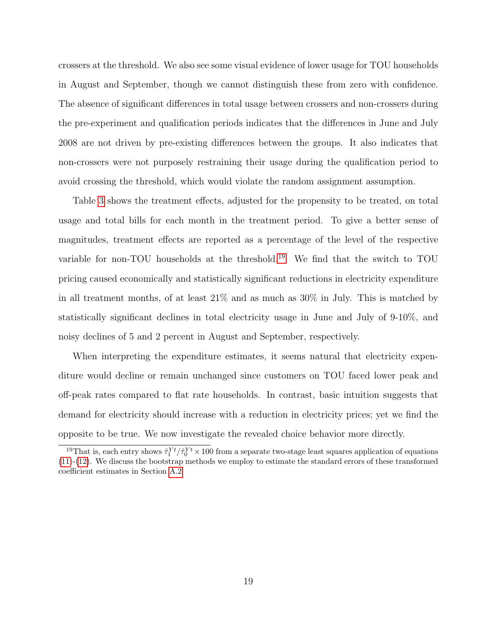crossers at the threshold. We also see some visual evidence of lower usage for TOU households in August and September, though we cannot distinguish these from zero with confidence. The absence of significant differences in total usage between crossers and non-crossers during the pre-experiment and qualification periods indicates that the differences in June and July 2008 are not driven by pre-existing differences between the groups. It also indicates that non-crossers were not purposely restraining their usage during the qualification period to avoid crossing the threshold, which would violate the random assignment assumption.

Table [3](#page-28-1) shows the treatment effects, adjusted for the propensity to be treated, on total usage and total bills for each month in the treatment period. To give a better sense of magnitudes, treatment effects are reported as a percentage of the level of the respective variable for non-TOU households at the threshold.<sup>[19](#page-18-0)</sup> We find that the switch to TOU pricing caused economically and statistically significant reductions in electricity expenditure in all treatment months, of at least 21% and as much as 30% in July. This is matched by statistically significant declines in total electricity usage in June and July of 9-10%, and noisy declines of 5 and 2 percent in August and September, respectively.

When interpreting the expenditure estimates, it seems natural that electricity expenditure would decline or remain unchanged since customers on TOU faced lower peak and off-peak rates compared to flat rate households. In contrast, basic intuition suggests that demand for electricity should increase with a reduction in electricity prices; yet we find the opposite to be true. We now investigate the revealed choice behavior more directly.

<span id="page-18-0"></span><sup>&</sup>lt;sup>19</sup>That is, each entry shows  $\hat{\tau}_1^{Yt}/\hat{\tau}_0^{Yt} \times 100$  from a separate two-stage least squares application of equations [\(11\)](#page-15-0)-[\(12\)](#page-15-1). We discuss the bootstrap methods we employ to estimate the standard errors of these transformed coefficient estimates in Section [A.2](#page-37-0)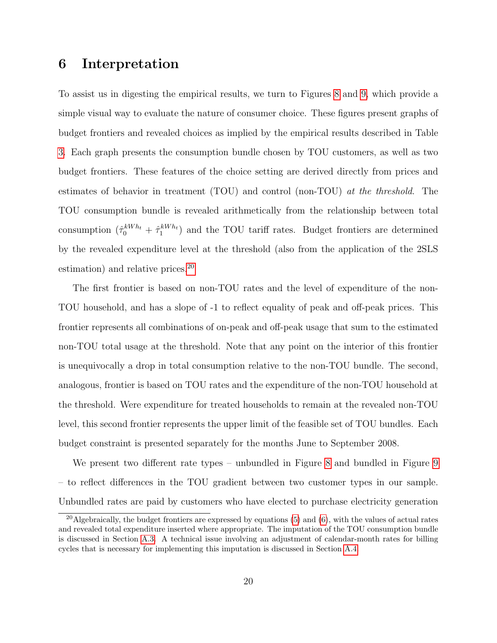# 6 Interpretation

To assist us in digesting the empirical results, we turn to Figures [8](#page-32-0) and [9,](#page-33-0) which provide a simple visual way to evaluate the nature of consumer choice. These figures present graphs of budget frontiers and revealed choices as implied by the empirical results described in Table [3.](#page-28-1) Each graph presents the consumption bundle chosen by TOU customers, as well as two budget frontiers. These features of the choice setting are derived directly from prices and estimates of behavior in treatment (TOU) and control (non-TOU) at the threshold. The TOU consumption bundle is revealed arithmetically from the relationship between total consumption  $(\hat{\tau}_0^{kWh_t} + \hat{\tau}_1^{kWh_t})$  and the TOU tariff rates. Budget frontiers are determined by the revealed expenditure level at the threshold (also from the application of the 2SLS estimation) and relative prices.<sup>[20](#page-19-0)</sup>

The first frontier is based on non-TOU rates and the level of expenditure of the non-TOU household, and has a slope of -1 to reflect equality of peak and off-peak prices. This frontier represents all combinations of on-peak and off-peak usage that sum to the estimated non-TOU total usage at the threshold. Note that any point on the interior of this frontier is unequivocally a drop in total consumption relative to the non-TOU bundle. The second, analogous, frontier is based on TOU rates and the expenditure of the non-TOU household at the threshold. Were expenditure for treated households to remain at the revealed non-TOU level, this second frontier represents the upper limit of the feasible set of TOU bundles. Each budget constraint is presented separately for the months June to September 2008.

We present two different rate types – unbundled in Figure [8](#page-32-0) and bundled in Figure [9](#page-33-0) – to reflect differences in the TOU gradient between two customer types in our sample. Unbundled rates are paid by customers who have elected to purchase electricity generation

<span id="page-19-0"></span><sup>&</sup>lt;sup>20</sup>Algebraically, the budget frontiers are expressed by equations  $(5)$  and  $(6)$ , with the values of actual rates and revealed total expenditure inserted where appropriate. The imputation of the TOU consumption bundle is discussed in Section [A.3.](#page-38-0) A technical issue involving an adjustment of calendar-month rates for billing cycles that is necessary for implementing this imputation is discussed in Section [A.4.](#page-39-0)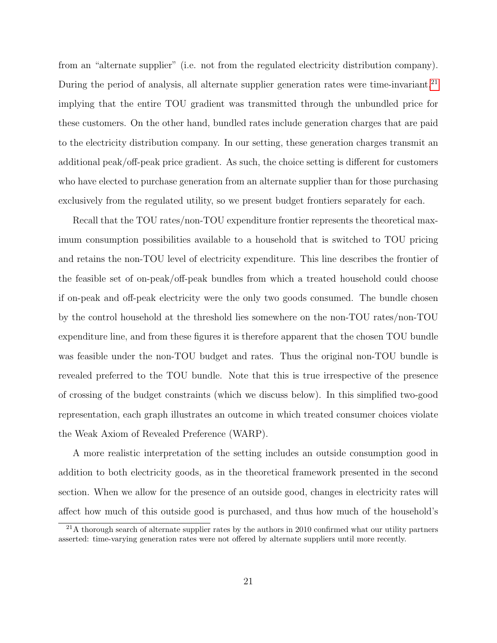from an "alternate supplier" (i.e. not from the regulated electricity distribution company). During the period of analysis, all alternate supplier generation rates were time-invariant,  $2<sup>1</sup>$ implying that the entire TOU gradient was transmitted through the unbundled price for these customers. On the other hand, bundled rates include generation charges that are paid to the electricity distribution company. In our setting, these generation charges transmit an additional peak/off-peak price gradient. As such, the choice setting is different for customers who have elected to purchase generation from an alternate supplier than for those purchasing exclusively from the regulated utility, so we present budget frontiers separately for each.

Recall that the TOU rates/non-TOU expenditure frontier represents the theoretical maximum consumption possibilities available to a household that is switched to TOU pricing and retains the non-TOU level of electricity expenditure. This line describes the frontier of the feasible set of on-peak/off-peak bundles from which a treated household could choose if on-peak and off-peak electricity were the only two goods consumed. The bundle chosen by the control household at the threshold lies somewhere on the non-TOU rates/non-TOU expenditure line, and from these figures it is therefore apparent that the chosen TOU bundle was feasible under the non-TOU budget and rates. Thus the original non-TOU bundle is revealed preferred to the TOU bundle. Note that this is true irrespective of the presence of crossing of the budget constraints (which we discuss below). In this simplified two-good representation, each graph illustrates an outcome in which treated consumer choices violate the Weak Axiom of Revealed Preference (WARP).

A more realistic interpretation of the setting includes an outside consumption good in addition to both electricity goods, as in the theoretical framework presented in the second section. When we allow for the presence of an outside good, changes in electricity rates will affect how much of this outside good is purchased, and thus how much of the household's

<span id="page-20-0"></span> $^{21}$ A thorough search of alternate supplier rates by the authors in 2010 confirmed what our utility partners asserted: time-varying generation rates were not offered by alternate suppliers until more recently.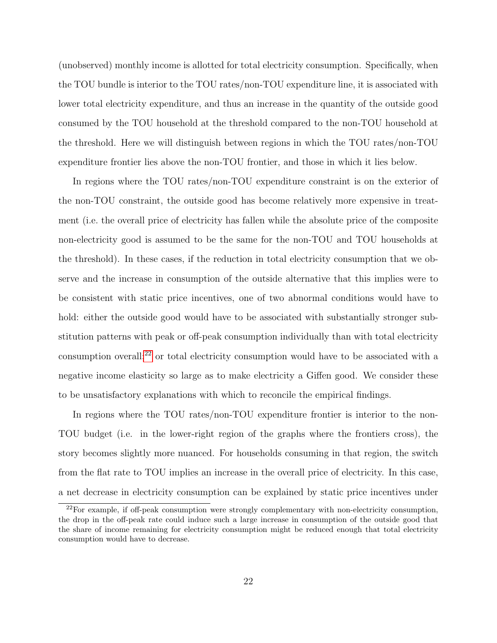(unobserved) monthly income is allotted for total electricity consumption. Specifically, when the TOU bundle is interior to the TOU rates/non-TOU expenditure line, it is associated with lower total electricity expenditure, and thus an increase in the quantity of the outside good consumed by the TOU household at the threshold compared to the non-TOU household at the threshold. Here we will distinguish between regions in which the TOU rates/non-TOU expenditure frontier lies above the non-TOU frontier, and those in which it lies below.

In regions where the TOU rates/non-TOU expenditure constraint is on the exterior of the non-TOU constraint, the outside good has become relatively more expensive in treatment (i.e. the overall price of electricity has fallen while the absolute price of the composite non-electricity good is assumed to be the same for the non-TOU and TOU households at the threshold). In these cases, if the reduction in total electricity consumption that we observe and the increase in consumption of the outside alternative that this implies were to be consistent with static price incentives, one of two abnormal conditions would have to hold: either the outside good would have to be associated with substantially stronger substitution patterns with peak or off-peak consumption individually than with total electricity consumption overall;[22](#page-21-0) or total electricity consumption would have to be associated with a negative income elasticity so large as to make electricity a Giffen good. We consider these to be unsatisfactory explanations with which to reconcile the empirical findings.

In regions where the TOU rates/non-TOU expenditure frontier is interior to the non-TOU budget (i.e. in the lower-right region of the graphs where the frontiers cross), the story becomes slightly more nuanced. For households consuming in that region, the switch from the flat rate to TOU implies an increase in the overall price of electricity. In this case, a net decrease in electricity consumption can be explained by static price incentives under

<span id="page-21-0"></span> $^{22}$ For example, if off-peak consumption were strongly complementary with non-electricity consumption, the drop in the off-peak rate could induce such a large increase in consumption of the outside good that the share of income remaining for electricity consumption might be reduced enough that total electricity consumption would have to decrease.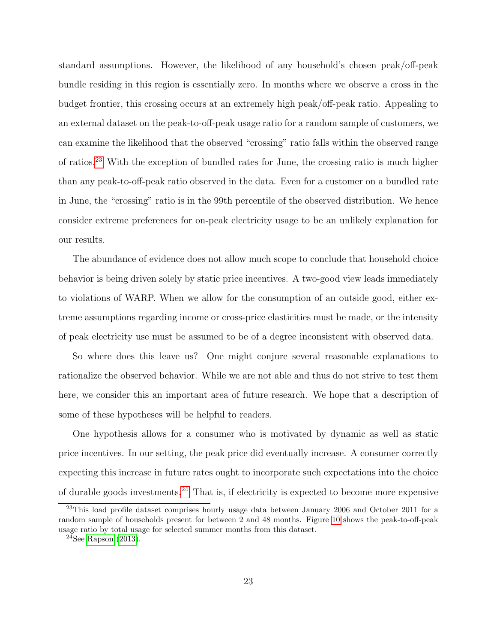standard assumptions. However, the likelihood of any household's chosen peak/off-peak bundle residing in this region is essentially zero. In months where we observe a cross in the budget frontier, this crossing occurs at an extremely high peak/off-peak ratio. Appealing to an external dataset on the peak-to-off-peak usage ratio for a random sample of customers, we can examine the likelihood that the observed "crossing" ratio falls within the observed range of ratios.[23](#page-22-0) With the exception of bundled rates for June, the crossing ratio is much higher than any peak-to-off-peak ratio observed in the data. Even for a customer on a bundled rate in June, the "crossing" ratio is in the 99th percentile of the observed distribution. We hence consider extreme preferences for on-peak electricity usage to be an unlikely explanation for our results.

The abundance of evidence does not allow much scope to conclude that household choice behavior is being driven solely by static price incentives. A two-good view leads immediately to violations of WARP. When we allow for the consumption of an outside good, either extreme assumptions regarding income or cross-price elasticities must be made, or the intensity of peak electricity use must be assumed to be of a degree inconsistent with observed data.

So where does this leave us? One might conjure several reasonable explanations to rationalize the observed behavior. While we are not able and thus do not strive to test them here, we consider this an important area of future research. We hope that a description of some of these hypotheses will be helpful to readers.

One hypothesis allows for a consumer who is motivated by dynamic as well as static price incentives. In our setting, the peak price did eventually increase. A consumer correctly expecting this increase in future rates ought to incorporate such expectations into the choice of durable goods investments.[24](#page-22-1) That is, if electricity is expected to become more expensive

<span id="page-22-0"></span> $^{23}$ This load profile dataset comprises hourly usage data between January 2006 and October 2011 for a random sample of households present for between 2 and 48 months. Figure [10](#page-34-0) shows the peak-to-off-peak usage ratio by total usage for selected summer months from this dataset.

<span id="page-22-1"></span><sup>&</sup>lt;sup>24</sup>See [Rapson](#page-26-8)  $(2013)$ .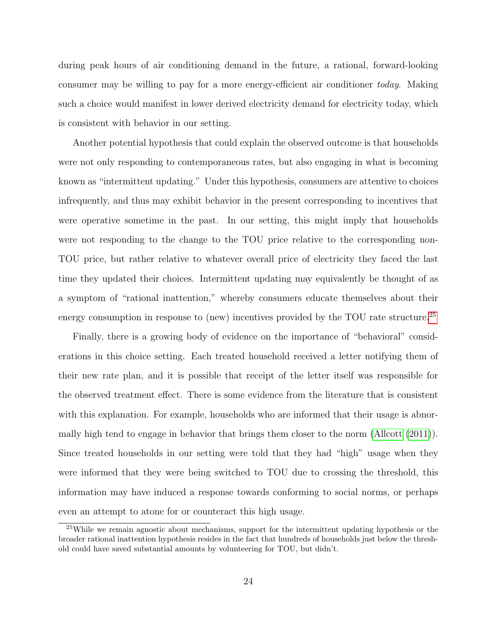during peak hours of air conditioning demand in the future, a rational, forward-looking consumer may be willing to pay for a more energy-efficient air conditioner today. Making such a choice would manifest in lower derived electricity demand for electricity today, which is consistent with behavior in our setting.

Another potential hypothesis that could explain the observed outcome is that households were not only responding to contemporaneous rates, but also engaging in what is becoming known as "intermittent updating." Under this hypothesis, consumers are attentive to choices infrequently, and thus may exhibit behavior in the present corresponding to incentives that were operative sometime in the past. In our setting, this might imply that households were not responding to the change to the TOU price relative to the corresponding non-TOU price, but rather relative to whatever overall price of electricity they faced the last time they updated their choices. Intermittent updating may equivalently be thought of as a symptom of "rational inattention," whereby consumers educate themselves about their energy consumption in response to (new) incentives provided by the TOU rate structure.<sup>[25](#page-23-0)</sup>

Finally, there is a growing body of evidence on the importance of "behavioral" considerations in this choice setting. Each treated household received a letter notifying them of their new rate plan, and it is possible that receipt of the letter itself was responsible for the observed treatment effect. There is some evidence from the literature that is consistent with this explanation. For example, households who are informed that their usage is abnormally high tend to engage in behavior that brings them closer to the norm [\(Allcott](#page-25-2) [\(2011\)](#page-25-2)). Since treated households in our setting were told that they had "high" usage when they were informed that they were being switched to TOU due to crossing the threshold, this information may have induced a response towards conforming to social norms, or perhaps even an attempt to atone for or counteract this high usage.

<span id="page-23-0"></span><sup>&</sup>lt;sup>25</sup>While we remain agnostic about mechanisms, support for the intermittent updating hypothesis or the broader rational inattention hypothesis resides in the fact that hundreds of households just below the threshold could have saved substantial amounts by volunteering for TOU, but didn't.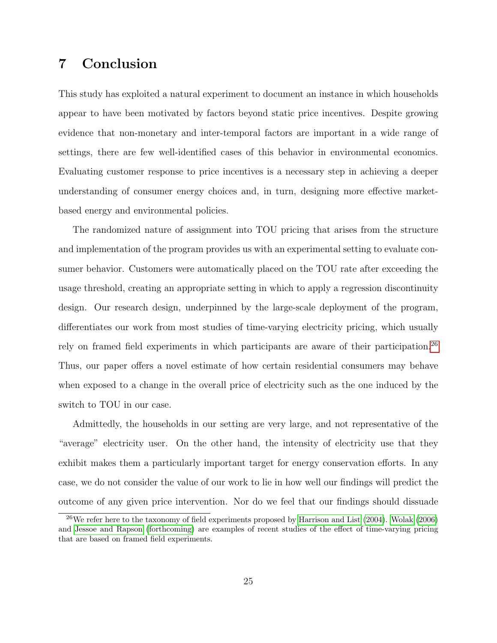# 7 Conclusion

This study has exploited a natural experiment to document an instance in which households appear to have been motivated by factors beyond static price incentives. Despite growing evidence that non-monetary and inter-temporal factors are important in a wide range of settings, there are few well-identified cases of this behavior in environmental economics. Evaluating customer response to price incentives is a necessary step in achieving a deeper understanding of consumer energy choices and, in turn, designing more effective marketbased energy and environmental policies.

The randomized nature of assignment into TOU pricing that arises from the structure and implementation of the program provides us with an experimental setting to evaluate consumer behavior. Customers were automatically placed on the TOU rate after exceeding the usage threshold, creating an appropriate setting in which to apply a regression discontinuity design. Our research design, underpinned by the large-scale deployment of the program, differentiates our work from most studies of time-varying electricity pricing, which usually rely on framed field experiments in which participants are aware of their participation.<sup>[26](#page-24-0)</sup> Thus, our paper offers a novel estimate of how certain residential consumers may behave when exposed to a change in the overall price of electricity such as the one induced by the switch to TOU in our case.

Admittedly, the households in our setting are very large, and not representative of the "average" electricity user. On the other hand, the intensity of electricity use that they exhibit makes them a particularly important target for energy conservation efforts. In any case, we do not consider the value of our work to lie in how well our findings will predict the outcome of any given price intervention. Nor do we feel that our findings should dissuade

<span id="page-24-0"></span> $^{26}$ We refer here to the taxonomy of field experiments proposed by [Harrison and List](#page-25-9) [\(2004\)](#page-25-9). [Wolak](#page-26-9) [\(2006\)](#page-26-9) and [Jessoe and Rapson](#page-26-5) [\(forthcoming\)](#page-26-5) are examples of recent studies of the effect of time-varying pricing that are based on framed field experiments.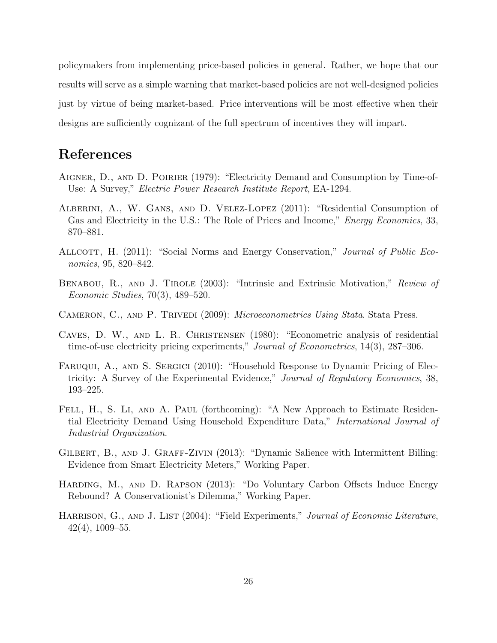policymakers from implementing price-based policies in general. Rather, we hope that our results will serve as a simple warning that market-based policies are not well-designed policies just by virtue of being market-based. Price interventions will be most effective when their designs are sufficiently cognizant of the full spectrum of incentives they will impart.

### References

- <span id="page-25-7"></span>Aigner, D., and D. Poirier (1979): "Electricity Demand and Consumption by Time-of-Use: A Survey," Electric Power Research Institute Report, EA-1294.
- <span id="page-25-4"></span>Alberini, A., W. Gans, and D. Velez-Lopez (2011): "Residential Consumption of Gas and Electricity in the U.S.: The Role of Prices and Income," *Energy Economics*, 33, 870–881.
- <span id="page-25-2"></span>ALLCOTT, H. (2011): "Social Norms and Energy Conservation," Journal of Public Economics, 95, 820–842.
- <span id="page-25-0"></span>BENABOU, R., AND J. TIROLE (2003): "Intrinsic and Extrinsic Motivation," Review of Economic Studies, 70(3), 489–520.
- <span id="page-25-10"></span>CAMERON, C., AND P. TRIVEDI (2009): *Microeconometrics Using Stata*. Stata Press.
- <span id="page-25-8"></span>Caves, D. W., and L. R. Christensen (1980): "Econometric analysis of residential time-of-use electricity pricing experiments," Journal of Econometrics, 14(3), 287-306.
- <span id="page-25-6"></span>Faruqui, A., and S. Sergici (2010): "Household Response to Dynamic Pricing of Electricity: A Survey of the Experimental Evidence," Journal of Regulatory Economics, 38, 193–225.
- <span id="page-25-5"></span>FELL, H., S. LI, AND A. PAUL (forthcoming): "A New Approach to Estimate Residential Electricity Demand Using Household Expenditure Data," International Journal of Industrial Organization.
- <span id="page-25-3"></span>GILBERT, B., AND J. GRAFF-ZIVIN (2013): "Dynamic Salience with Intermittent Billing: Evidence from Smart Electricity Meters," Working Paper.
- <span id="page-25-1"></span>Harding, M., and D. Rapson (2013): "Do Voluntary Carbon Offsets Induce Energy Rebound? A Conservationist's Dilemma," Working Paper.
- <span id="page-25-9"></span>HARRISON, G., AND J. LIST (2004): "Field Experiments," Journal of Economic Literature, 42(4), 1009–55.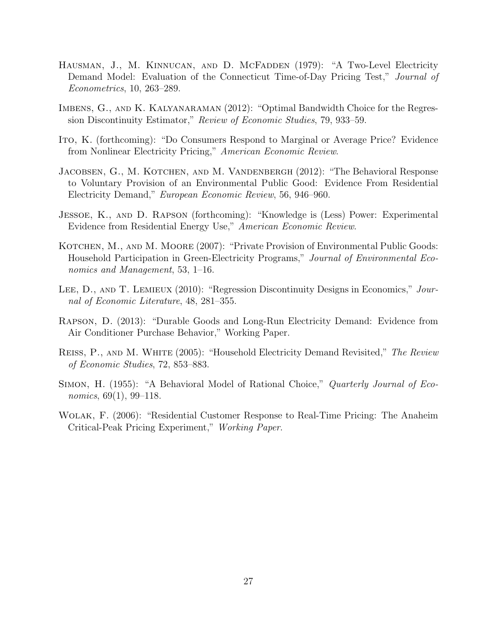- <span id="page-26-6"></span>HAUSMAN, J., M. KINNUCAN, AND D. MCFADDEN (1979): "A Two-Level Electricity Demand Model: Evaluation of the Connecticut Time-of-Day Pricing Test," Journal of Econometrics, 10, 263–289.
- <span id="page-26-10"></span>IMBENS, G., AND K. KALYANARAMAN (2012): "Optimal Bandwidth Choice for the Regression Discontinuity Estimator," Review of Economic Studies, 79, 933–59.
- <span id="page-26-4"></span>Ito, K. (forthcoming): "Do Consumers Respond to Marginal or Average Price? Evidence from Nonlinear Electricity Pricing," American Economic Review.
- <span id="page-26-1"></span>JACOBSEN, G., M. KOTCHEN, AND M. VANDENBERGH (2012): "The Behavioral Response to Voluntary Provision of an Environmental Public Good: Evidence From Residential Electricity Demand," European Economic Review, 56, 946–960.
- <span id="page-26-5"></span>Jessoe, K., and D. Rapson (forthcoming): "Knowledge is (Less) Power: Experimental Evidence from Residential Energy Use," American Economic Review.
- <span id="page-26-2"></span>KOTCHEN, M., AND M. MOORE (2007): "Private Provision of Environmental Public Goods: Household Participation in Green-Electricity Programs," Journal of Environmental Economics and Management, 53, 1–16.
- <span id="page-26-7"></span>LEE, D., AND T. LEMIEUX (2010): "Regression Discontinuity Designs in Economics," Journal of Economic Literature, 48, 281–355.
- <span id="page-26-8"></span>Rapson, D. (2013): "Durable Goods and Long-Run Electricity Demand: Evidence from Air Conditioner Purchase Behavior," Working Paper.
- <span id="page-26-3"></span>Reiss, P., and M. White (2005): "Household Electricity Demand Revisited," The Review of Economic Studies, 72, 853–883.
- <span id="page-26-0"></span>SIMON, H. (1955): "A Behavioral Model of Rational Choice," Quarterly Journal of Economics, 69(1), 99–118.
- <span id="page-26-9"></span>Wolak, F. (2006): "Residential Customer Response to Real-Time Pricing: The Anaheim Critical-Peak Pricing Experiment," Working Paper.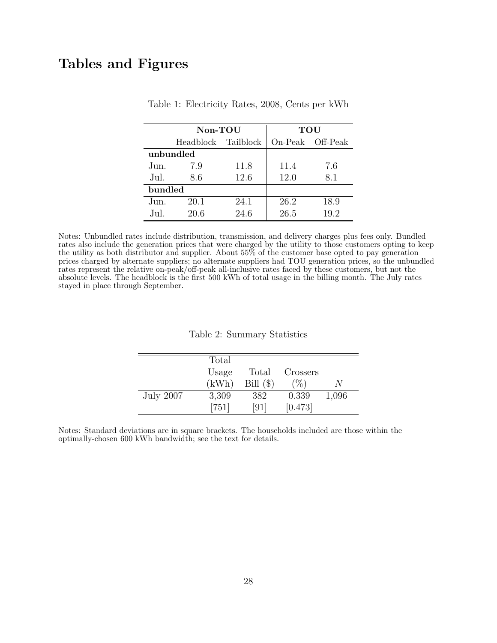# Tables and Figures

|           | Non-TOU             |      |      | TOU              |  |
|-----------|---------------------|------|------|------------------|--|
|           | Headblock Tailblock |      |      | On-Peak Off-Peak |  |
| unbundled |                     |      |      |                  |  |
| Jun.      | 79                  | 11.8 | 11.4 | 7.6              |  |
| Jul.      | 8.6                 | 12.6 | 12.0 | 8.1              |  |
| bundled   |                     |      |      |                  |  |
| Jun.      | 20.1                | 24.1 | 26.2 | 18.9             |  |
| Jul.      | 20.6                | 24.6 | 26.5 | 19.2             |  |

<span id="page-27-0"></span>Table 1: Electricity Rates, 2008, Cents per kWh

Notes: Unbundled rates include distribution, transmission, and delivery charges plus fees only. Bundled rates also include the generation prices that were charged by the utility to those customers opting to keep the utility as both distributor and supplier. About 55% of the customer base opted to pay generation prices charged by alternate suppliers; no alternate suppliers had TOU generation prices, so the unbundled rates represent the relative on-peak/off-peak all-inclusive rates faced by these customers, but not the absolute levels. The headblock is the first 500 kWh of total usage in the billing month. The July rates stayed in place through September.

#### <span id="page-27-1"></span>Table 2: Summary Statistics

|                  | Total   |             |                 |       |
|------------------|---------|-------------|-----------------|-------|
|                  | Usage   | Total       | Crossers        |       |
|                  | (kWh)   | Bill $(\$)$ | $\mathcal{O}_0$ | N     |
| <b>July 2007</b> | 3,309   | 382         | 0.339           | 1,096 |
|                  | $[751]$ | [91]        | [0.473]         |       |

Notes: Standard deviations are in square brackets. The households included are those within the optimally-chosen 600 kWh bandwidth; see the text for details.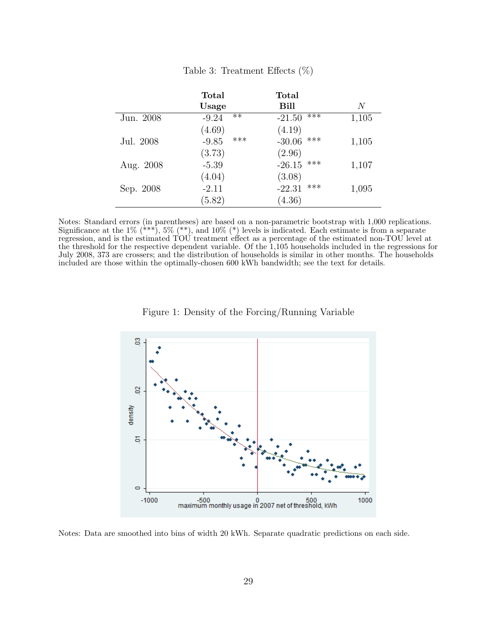|           | Total           | Total           |       |
|-----------|-----------------|-----------------|-------|
|           | Usage           | Bill            | N     |
| Jun. 2008 | $**$<br>$-9.24$ | ***<br>$-21.50$ | 1,105 |
|           | (4.69)          | (4.19)          |       |
| Jul. 2008 | ***<br>$-9.85$  | $-30.06$<br>*** | 1,105 |
|           | (3.73)          | (2.96)          |       |
| Aug. 2008 | $-5.39$         | $-26.15$<br>*** | 1,107 |
|           | (4.04)          | (3.08)          |       |
| Sep. 2008 | $-2.11$         | $-22.31$<br>*** | 1,095 |
|           | (5.82)          | (4.36)          |       |
|           |                 |                 |       |

<span id="page-28-1"></span>

Notes: Standard errors (in parentheses) are based on a non-parametric bootstrap with 1,000 replications. Significance at the  $1\%$  (\*\*\*),  $5\%$  (\*\*), and  $10\%$  (\*) levels is indicated. Each estimate is from a separate regression, and is the estimated TOU treatment effect as a percentage of the estimated non-TOU level at the threshold for the respective dependent variable. Of the 1,105 households included in the regressions for July 2008, 373 are crossers; and the distribution of households is similar in other months. The households included are those within the optimally-chosen 600 kWh bandwidth; see the text for details.

<span id="page-28-0"></span>



Notes: Data are smoothed into bins of width 20 kWh. Separate quadratic predictions on each side.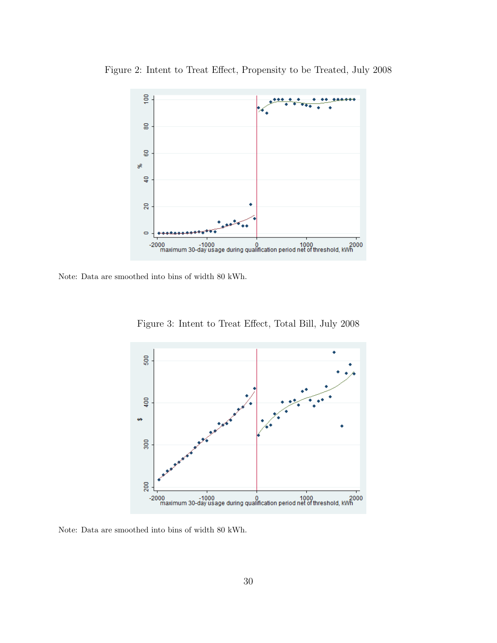<span id="page-29-0"></span>

Figure 2: Intent to Treat Effect, Propensity to be Treated, July 2008

Note: Data are smoothed into bins of width 80 kWh.

<span id="page-29-1"></span>Figure 3: Intent to Treat Effect, Total Bill, July 2008



Note: Data are smoothed into bins of width 80 kWh.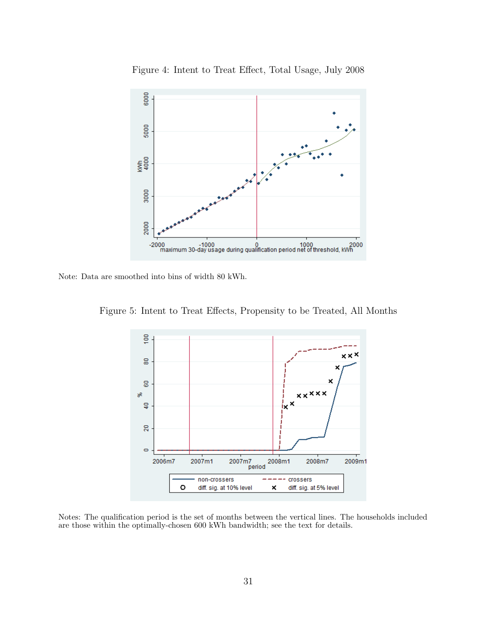

<span id="page-30-0"></span>Figure 4: Intent to Treat Effect, Total Usage, July 2008

Note: Data are smoothed into bins of width 80 kWh.

Figure 5: Intent to Treat Effects, Propensity to be Treated, All Months

<span id="page-30-1"></span>

Notes: The qualification period is the set of months between the vertical lines. The households included are those within the optimally-chosen 600 kWh bandwidth; see the text for details.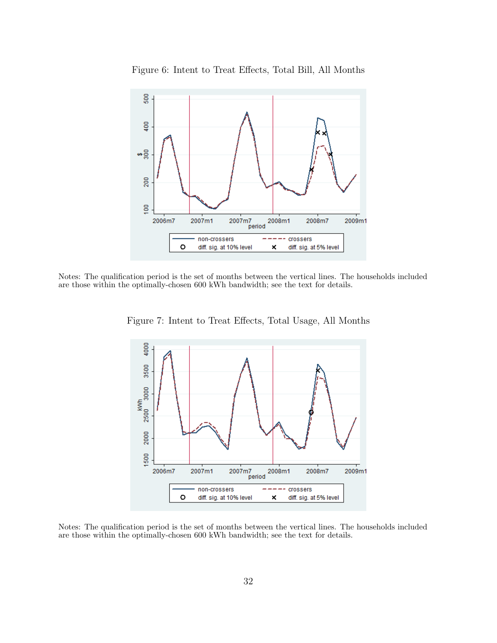

<span id="page-31-0"></span>Figure 6: Intent to Treat Effects, Total Bill, All Months

Notes: The qualification period is the set of months between the vertical lines. The households included are those within the optimally-chosen 600 kWh bandwidth; see the text for details.

<span id="page-31-1"></span>

Figure 7: Intent to Treat Effects, Total Usage, All Months

Notes: The qualification period is the set of months between the vertical lines. The households included are those within the optimally-chosen 600 kWh bandwidth; see the text for details.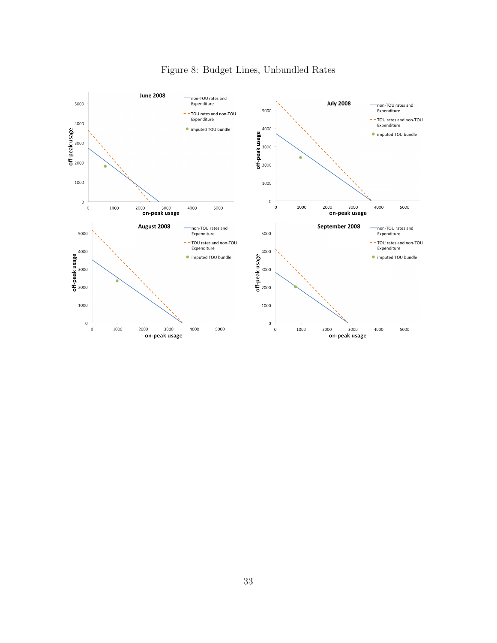

<span id="page-32-0"></span>Figure 8: Budget Lines, Unbundled Rates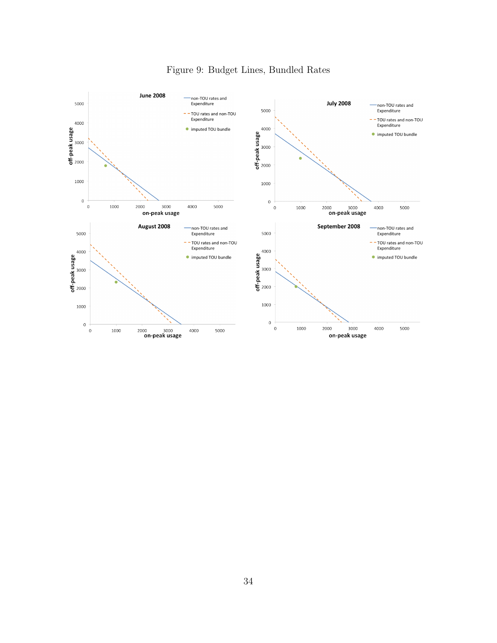

### <span id="page-33-0"></span>Figure 9: Budget Lines, Bundled Rates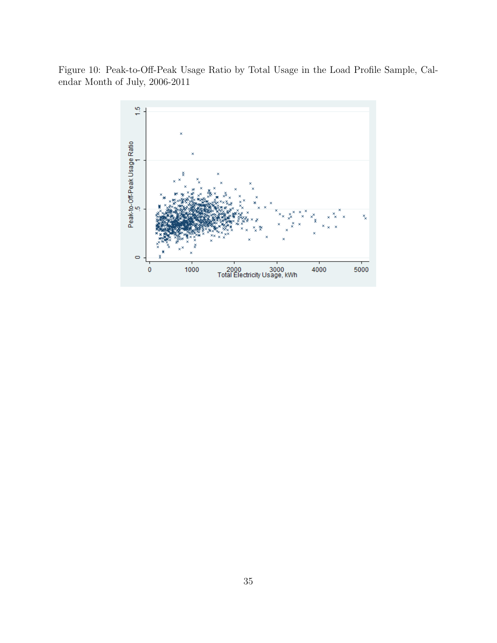Figure 10: Peak-to-Off-Peak Usage Ratio by Total Usage in the Load Profile Sample, Calendar Month of July, 2006-2011

<span id="page-34-0"></span>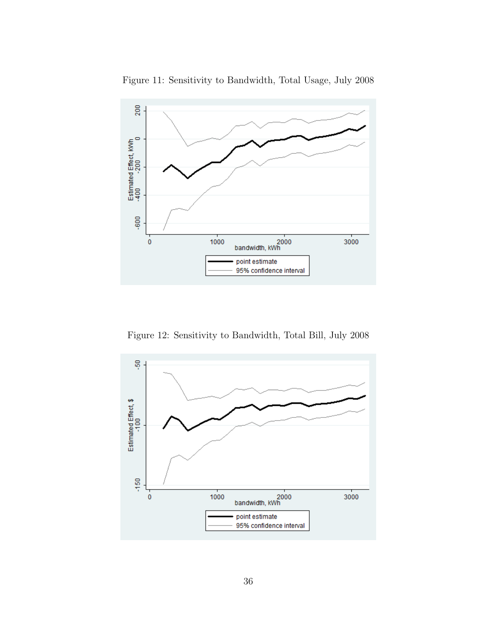

<span id="page-35-0"></span>Figure 11: Sensitivity to Bandwidth, Total Usage, July 2008

<span id="page-35-1"></span>Figure 12: Sensitivity to Bandwidth, Total Bill, July 2008

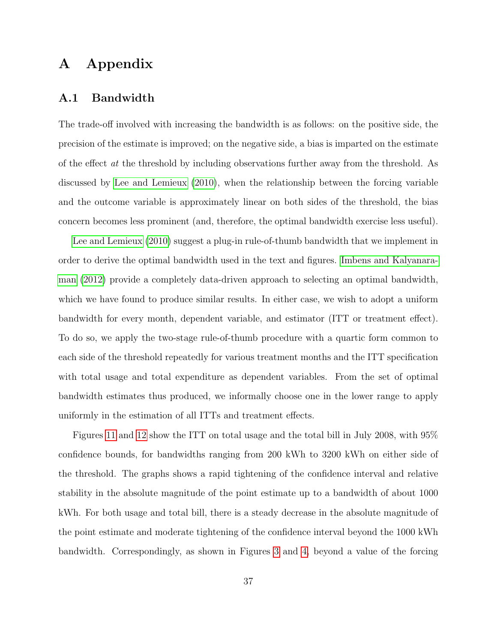# A Appendix

### <span id="page-36-0"></span>A.1 Bandwidth

The trade-off involved with increasing the bandwidth is as follows: on the positive side, the precision of the estimate is improved; on the negative side, a bias is imparted on the estimate of the effect at the threshold by including observations further away from the threshold. As discussed by [Lee and Lemieux](#page-26-7) [\(2010\)](#page-26-7), when the relationship between the forcing variable and the outcome variable is approximately linear on both sides of the threshold, the bias concern becomes less prominent (and, therefore, the optimal bandwidth exercise less useful).

[Lee and Lemieux](#page-26-7) [\(2010\)](#page-26-7) suggest a plug-in rule-of-thumb bandwidth that we implement in order to derive the optimal bandwidth used in the text and figures. [Imbens and Kalyanara](#page-26-10)[man](#page-26-10) [\(2012\)](#page-26-10) provide a completely data-driven approach to selecting an optimal bandwidth, which we have found to produce similar results. In either case, we wish to adopt a uniform bandwidth for every month, dependent variable, and estimator (ITT or treatment effect). To do so, we apply the two-stage rule-of-thumb procedure with a quartic form common to each side of the threshold repeatedly for various treatment months and the ITT specification with total usage and total expenditure as dependent variables. From the set of optimal bandwidth estimates thus produced, we informally choose one in the lower range to apply uniformly in the estimation of all ITTs and treatment effects.

Figures [11](#page-35-0) and [12](#page-35-1) show the ITT on total usage and the total bill in July 2008, with 95% confidence bounds, for bandwidths ranging from 200 kWh to 3200 kWh on either side of the threshold. The graphs shows a rapid tightening of the confidence interval and relative stability in the absolute magnitude of the point estimate up to a bandwidth of about 1000 kWh. For both usage and total bill, there is a steady decrease in the absolute magnitude of the point estimate and moderate tightening of the confidence interval beyond the 1000 kWh bandwidth. Correspondingly, as shown in Figures [3](#page-29-1) and [4,](#page-30-0) beyond a value of the forcing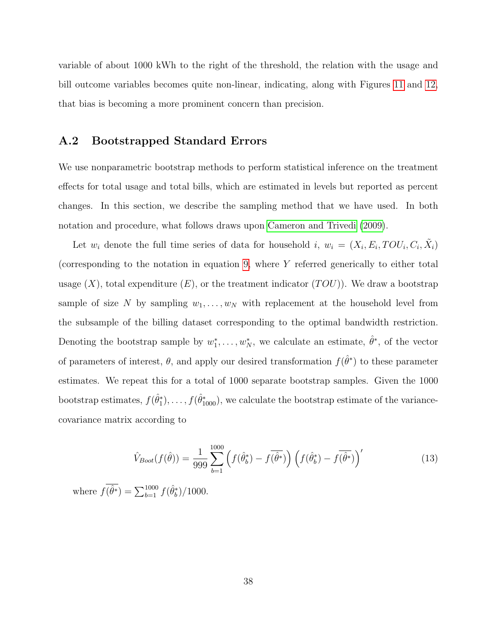variable of about 1000 kWh to the right of the threshold, the relation with the usage and bill outcome variables becomes quite non-linear, indicating, along with Figures [11](#page-35-0) and [12,](#page-35-1) that bias is becoming a more prominent concern than precision.

#### <span id="page-37-0"></span>A.2 Bootstrapped Standard Errors

We use nonparametric bootstrap methods to perform statistical inference on the treatment effects for total usage and total bills, which are estimated in levels but reported as percent changes. In this section, we describe the sampling method that we have used. In both notation and procedure, what follows draws upon [Cameron and Trivedi](#page-25-10) [\(2009\)](#page-25-10).

Let  $w_i$  denote the full time series of data for household i,  $w_i = (X_i, E_i, TOU_i, C_i, \tilde{X}_i)$ (corresponding to the notation in equation [9,](#page-13-3) where Y referred generically to either total usage  $(X)$ , total expenditure  $(E)$ , or the treatment indicator  $(TOU)$ ). We draw a bootstrap sample of size N by sampling  $w_1, \ldots, w_N$  with replacement at the household level from the subsample of the billing dataset corresponding to the optimal bandwidth restriction. Denoting the bootstrap sample by  $w_1^*, \ldots, w_N^*$ , we calculate an estimate,  $\hat{\theta}^*$ , of the vector of parameters of interest,  $\theta$ , and apply our desired transformation  $f(\hat{\theta}^*)$  to these parameter estimates. We repeat this for a total of 1000 separate bootstrap samples. Given the 1000 bootstrap estimates,  $f(\hat{\theta}_1^*), \ldots, f(\hat{\theta}_{1000}^*)$ , we calculate the bootstrap estimate of the variancecovariance matrix according to

$$
\hat{V}_{Boot}(f(\hat{\theta})) = \frac{1}{999} \sum_{b=1}^{1000} \left( f(\hat{\theta}_b^*) - f(\hat{\theta}^*) \right) \left( f(\hat{\theta}_b^*) - f(\hat{\theta}^*) \right)'
$$
\n(13)

where  $f(\hat{\theta}^*) = \sum_{b=1}^{1000} f(\hat{\theta}_b^*)/1000$ .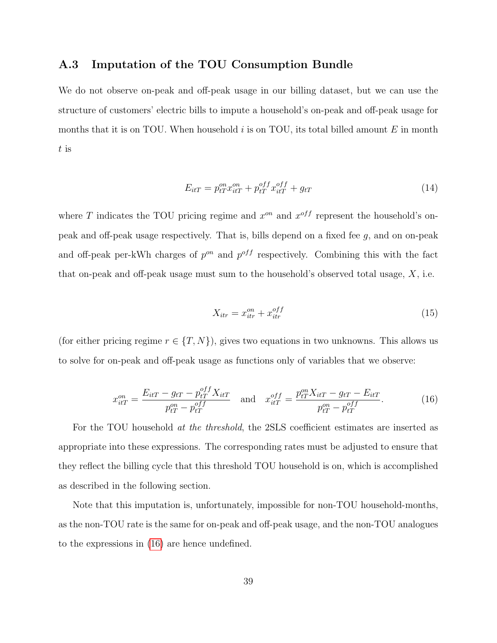### <span id="page-38-0"></span>A.3 Imputation of the TOU Consumption Bundle

We do not observe on-peak and off-peak usage in our billing dataset, but we can use the structure of customers' electric bills to impute a household's on-peak and off-peak usage for months that it is on TOU. When household  $i$  is on TOU, its total billed amount  $E$  in month t is

$$
E_{itT} = p_{tT}^{on} x_{itT}^{on} + p_{tT}^{off} x_{itT}^{off} + g_{tT}
$$
\n(14)

where T indicates the TOU pricing regime and  $x^{on}$  and  $x^{off}$  represent the household's onpeak and off-peak usage respectively. That is, bills depend on a fixed fee g, and on on-peak and off-peak per-kWh charges of  $p^{on}$  and  $p^{off}$  respectively. Combining this with the fact that on-peak and off-peak usage must sum to the household's observed total usage,  $X$ , i.e.

$$
X_{itr} = x_{itr}^{on} + x_{itr}^{off}
$$
\n
$$
(15)
$$

(for either pricing regime  $r \in \{T, N\}$ ), gives two equations in two unknowns. This allows us to solve for on-peak and off-peak usage as functions only of variables that we observe:

<span id="page-38-1"></span>
$$
x_{itT}^{on} = \frac{E_{itT} - g_{tT} - p_{tT}^{off} X_{itT}}{p_{tT}^{on} - p_{tT}^{off}} \quad \text{and} \quad x_{itT}^{off} = \frac{p_{tT}^{on} X_{itT} - g_{tT} - E_{itT}}{p_{tT}^{on} - p_{tT}^{off}}.
$$
 (16)

For the TOU household *at the threshold*, the 2SLS coefficient estimates are inserted as appropriate into these expressions. The corresponding rates must be adjusted to ensure that they reflect the billing cycle that this threshold TOU household is on, which is accomplished as described in the following section.

Note that this imputation is, unfortunately, impossible for non-TOU household-months, as the non-TOU rate is the same for on-peak and off-peak usage, and the non-TOU analogues to the expressions in [\(16\)](#page-38-1) are hence undefined.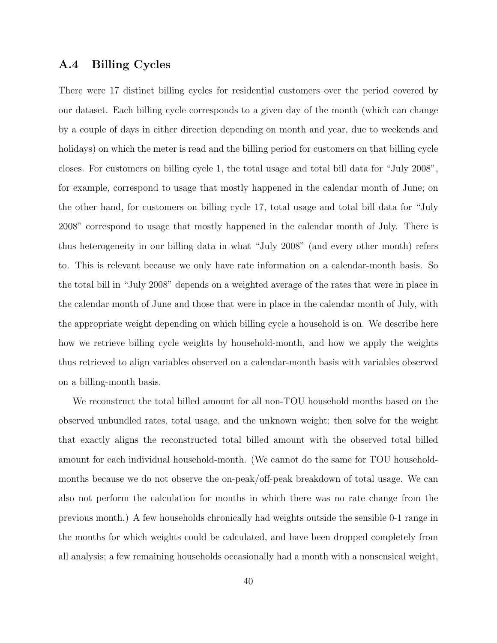### <span id="page-39-0"></span>A.4 Billing Cycles

There were 17 distinct billing cycles for residential customers over the period covered by our dataset. Each billing cycle corresponds to a given day of the month (which can change by a couple of days in either direction depending on month and year, due to weekends and holidays) on which the meter is read and the billing period for customers on that billing cycle closes. For customers on billing cycle 1, the total usage and total bill data for "July 2008", for example, correspond to usage that mostly happened in the calendar month of June; on the other hand, for customers on billing cycle 17, total usage and total bill data for "July 2008" correspond to usage that mostly happened in the calendar month of July. There is thus heterogeneity in our billing data in what "July 2008" (and every other month) refers to. This is relevant because we only have rate information on a calendar-month basis. So the total bill in "July 2008" depends on a weighted average of the rates that were in place in the calendar month of June and those that were in place in the calendar month of July, with the appropriate weight depending on which billing cycle a household is on. We describe here how we retrieve billing cycle weights by household-month, and how we apply the weights thus retrieved to align variables observed on a calendar-month basis with variables observed on a billing-month basis.

We reconstruct the total billed amount for all non-TOU household months based on the observed unbundled rates, total usage, and the unknown weight; then solve for the weight that exactly aligns the reconstructed total billed amount with the observed total billed amount for each individual household-month. (We cannot do the same for TOU householdmonths because we do not observe the on-peak/off-peak breakdown of total usage. We can also not perform the calculation for months in which there was no rate change from the previous month.) A few households chronically had weights outside the sensible 0-1 range in the months for which weights could be calculated, and have been dropped completely from all analysis; a few remaining households occasionally had a month with a nonsensical weight,